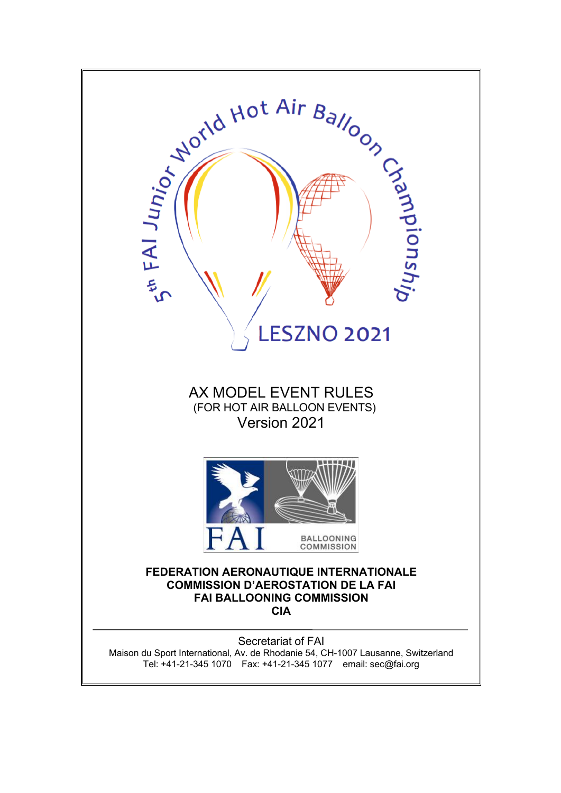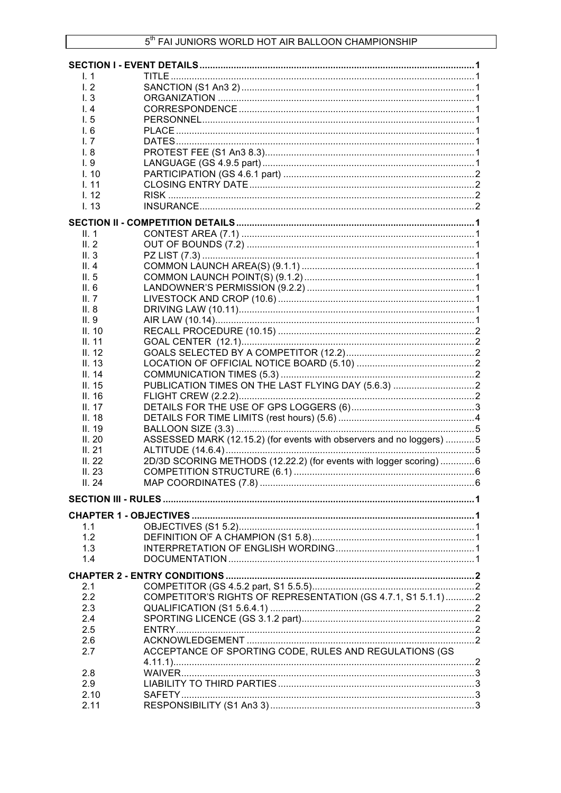| $\mathsf{L}$ 1 |                                                                      |  |
|----------------|----------------------------------------------------------------------|--|
| 1.2            |                                                                      |  |
| 1.3            |                                                                      |  |
| 1.4            |                                                                      |  |
| 1.5            |                                                                      |  |
| I. 6           |                                                                      |  |
| 1.7            |                                                                      |  |
| I. 8           |                                                                      |  |
| 1.9            |                                                                      |  |
| 1.10           |                                                                      |  |
| 1.11           |                                                                      |  |
| 1.12           |                                                                      |  |
|                |                                                                      |  |
| 1.13           |                                                                      |  |
|                |                                                                      |  |
| II. 1          |                                                                      |  |
| II.2           |                                                                      |  |
| II.3           |                                                                      |  |
| II. $4$        |                                                                      |  |
| II. $5$        |                                                                      |  |
| II. 6          |                                                                      |  |
| II. $7$        |                                                                      |  |
| II.8           |                                                                      |  |
| II.9           |                                                                      |  |
| II. 10         |                                                                      |  |
|                |                                                                      |  |
| II. 11         |                                                                      |  |
| II. 12         |                                                                      |  |
| II. 13         |                                                                      |  |
| II. 14         |                                                                      |  |
| II. $15$       | PUBLICATION TIMES ON THE LAST FLYING DAY (5.6.3)                     |  |
| II.16          |                                                                      |  |
| II. 17         |                                                                      |  |
| II.18          |                                                                      |  |
| II. 19         |                                                                      |  |
| II.20          | ASSESSED MARK (12.15.2) (for events with observers and no loggers) 5 |  |
| II.21          |                                                                      |  |
| II.22          | 2D/3D SCORING METHODS (12.22.2) (for events with logger scoring) 6   |  |
| II.23          |                                                                      |  |
| II.24          |                                                                      |  |
|                |                                                                      |  |
|                |                                                                      |  |
|                |                                                                      |  |
| 1.1            |                                                                      |  |
| 1.2            |                                                                      |  |
| 1.3            |                                                                      |  |
| 1.4            |                                                                      |  |
|                |                                                                      |  |
|                |                                                                      |  |
| 2.1            |                                                                      |  |
| 2.2            | COMPETITOR'S RIGHTS OF REPRESENTATION (GS 4.7.1, S1 5.1.1)2          |  |
| 2.3            |                                                                      |  |
| 2.4            |                                                                      |  |
| 2.5            |                                                                      |  |
| 2.6            |                                                                      |  |
| 2.7            | ACCEPTANCE OF SPORTING CODE, RULES AND REGULATIONS (GS               |  |
|                |                                                                      |  |
| 2.8            |                                                                      |  |
| 2.9            |                                                                      |  |
| 2.10           |                                                                      |  |
| 2.11           |                                                                      |  |
|                |                                                                      |  |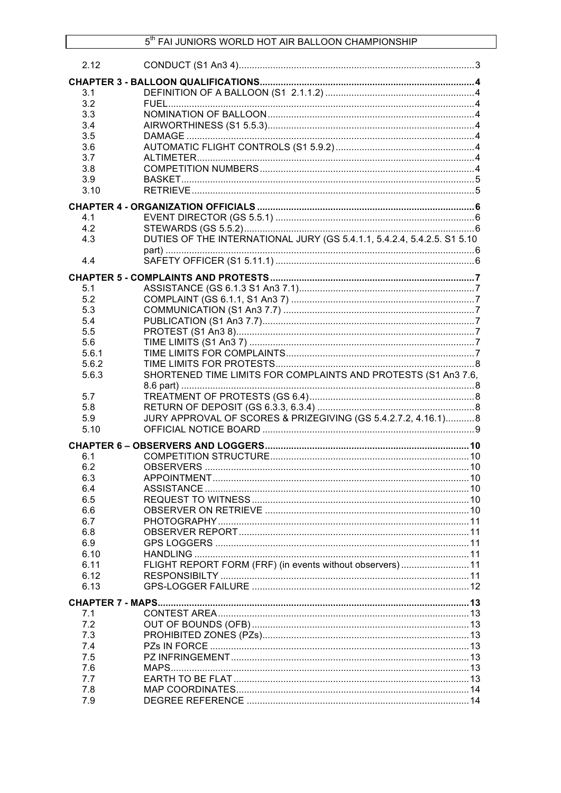| 2.12         |                                                                         |  |
|--------------|-------------------------------------------------------------------------|--|
|              |                                                                         |  |
| 3.1          |                                                                         |  |
| 3.2          |                                                                         |  |
| 3.3          |                                                                         |  |
| 3.4          |                                                                         |  |
| 3.5          |                                                                         |  |
| 3.6          |                                                                         |  |
| 3.7          |                                                                         |  |
| 3.8          |                                                                         |  |
| 3.9          |                                                                         |  |
| 3.10         |                                                                         |  |
|              |                                                                         |  |
| 4.1          |                                                                         |  |
| 4.2          |                                                                         |  |
| 4.3          | DUTIES OF THE INTERNATIONAL JURY (GS 5.4.1.1, 5.4.2.4, 5.4.2.5. S1 5.10 |  |
|              |                                                                         |  |
| 4.4          |                                                                         |  |
|              |                                                                         |  |
| 5.1          |                                                                         |  |
| 5.2          |                                                                         |  |
| 5.3          |                                                                         |  |
| 5.4          |                                                                         |  |
| 5.5          |                                                                         |  |
| 5.6          |                                                                         |  |
| 5.6.1        |                                                                         |  |
| 5.6.2        |                                                                         |  |
| 5.6.3        | SHORTENED TIME LIMITS FOR COMPLAINTS AND PROTESTS (S1 An3 7.6,          |  |
|              |                                                                         |  |
| 5.7          |                                                                         |  |
| 5.8          |                                                                         |  |
| 5.9          | JURY APPROVAL OF SCORES & PRIZEGIVING (GS 5.4.2.7.2, 4.16.1) 8          |  |
| 5.10         |                                                                         |  |
|              |                                                                         |  |
| 6.1          |                                                                         |  |
| 6.2          |                                                                         |  |
| 6.3          |                                                                         |  |
| 6.4          |                                                                         |  |
| 6.5          |                                                                         |  |
| 6.6          |                                                                         |  |
| 6.7          |                                                                         |  |
| 6.8          |                                                                         |  |
| 6.9          |                                                                         |  |
| 6.10         |                                                                         |  |
| 6.11         | FLIGHT REPORT FORM (FRF) (in events without observers)11                |  |
| 6.12<br>6.13 |                                                                         |  |
|              |                                                                         |  |
|              |                                                                         |  |
| 7.1          |                                                                         |  |
| 7.2          |                                                                         |  |
| 7.3          |                                                                         |  |
| 7.4          |                                                                         |  |
| 7.5          |                                                                         |  |
| 7.6          |                                                                         |  |
| 7.7          |                                                                         |  |
| 7.8          |                                                                         |  |
| 7.9          |                                                                         |  |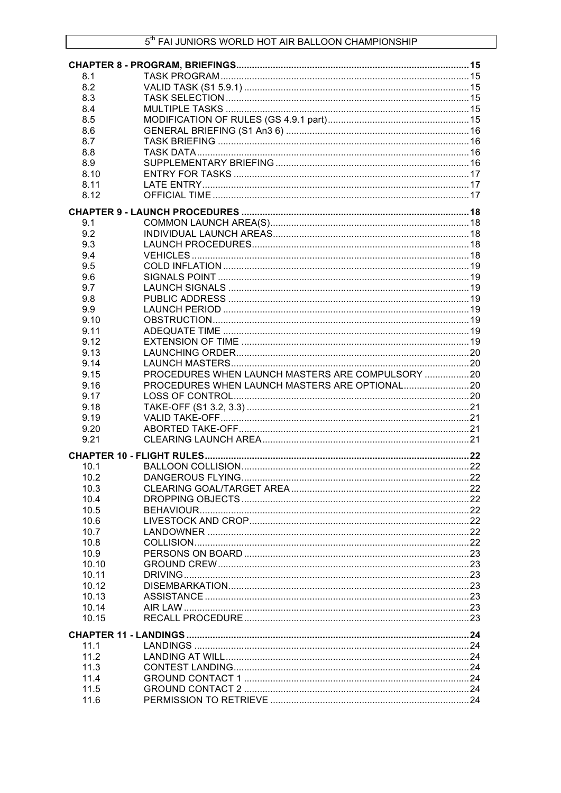| 8.1   |                                                  |  |
|-------|--------------------------------------------------|--|
| 8.2   |                                                  |  |
| 8.3   |                                                  |  |
| 8.4   |                                                  |  |
| 8.5   |                                                  |  |
| 8.6   |                                                  |  |
| 8.7   |                                                  |  |
| 8.8   |                                                  |  |
| 8.9   |                                                  |  |
| 8.10  |                                                  |  |
| 8.11  |                                                  |  |
| 8.12  |                                                  |  |
|       |                                                  |  |
|       |                                                  |  |
| 9.1   |                                                  |  |
| 9.2   |                                                  |  |
| 9.3   |                                                  |  |
| 9.4   |                                                  |  |
| 9.5   |                                                  |  |
| 9.6   |                                                  |  |
| 9.7   |                                                  |  |
| 9.8   |                                                  |  |
| 9.9   |                                                  |  |
| 9.10  |                                                  |  |
| 9.11  |                                                  |  |
| 9.12  |                                                  |  |
| 9.13  |                                                  |  |
| 9.14  |                                                  |  |
| 9.15  | PROCEDURES WHEN LAUNCH MASTERS ARE COMPULSORY 20 |  |
| 9.16  | PROCEDURES WHEN LAUNCH MASTERS ARE OPTIONAL20    |  |
| 9.17  |                                                  |  |
| 9.18  |                                                  |  |
| 9.19  |                                                  |  |
| 9.20  |                                                  |  |
| 9.21  |                                                  |  |
|       |                                                  |  |
|       |                                                  |  |
| 10.1  |                                                  |  |
| 10.2  |                                                  |  |
| 10.3  |                                                  |  |
| 10.4  |                                                  |  |
| 10.5  |                                                  |  |
| 10.6  |                                                  |  |
| 10.7  |                                                  |  |
| 10.8  |                                                  |  |
| 10.9  |                                                  |  |
| 10.10 |                                                  |  |
| 10.11 |                                                  |  |
| 10.12 |                                                  |  |
| 10.13 |                                                  |  |
| 10.14 |                                                  |  |
| 10.15 |                                                  |  |
|       |                                                  |  |
| 11.1  |                                                  |  |
| 11.2  |                                                  |  |
| 11.3  |                                                  |  |
| 11.4  |                                                  |  |
| 11.5  |                                                  |  |
|       |                                                  |  |
| 11.6  |                                                  |  |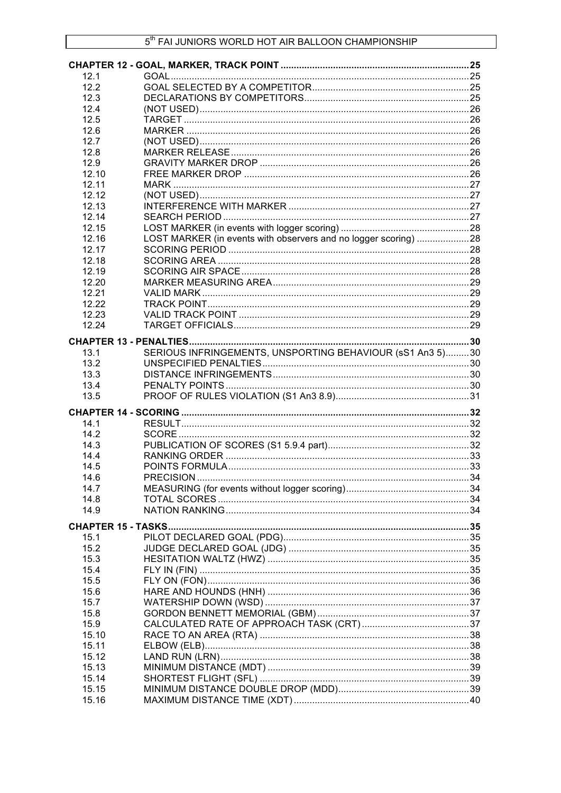| 12.1         |                                                                 |  |
|--------------|-----------------------------------------------------------------|--|
| 12.2         |                                                                 |  |
| 12.3         |                                                                 |  |
| 12.4         |                                                                 |  |
| 12.5         |                                                                 |  |
| 12.6         |                                                                 |  |
| 12.7         |                                                                 |  |
| 12.8         |                                                                 |  |
| 12.9         |                                                                 |  |
| 12.10        |                                                                 |  |
| 12.11        |                                                                 |  |
| 12.12        |                                                                 |  |
| 12.13        |                                                                 |  |
| 12.14        |                                                                 |  |
| 12.15        |                                                                 |  |
| 12.16        | LOST MARKER (in events with observers and no logger scoring) 28 |  |
| 12.17        |                                                                 |  |
| 12.18        |                                                                 |  |
| 12.19        |                                                                 |  |
| 12.20        |                                                                 |  |
| 12.21        |                                                                 |  |
| 12.22        |                                                                 |  |
| 12.23        |                                                                 |  |
| 12.24        |                                                                 |  |
|              |                                                                 |  |
|              |                                                                 |  |
| 13.1         | SERIOUS INFRINGEMENTS, UNSPORTING BEHAVIOUR (sS1 An3 5)30       |  |
| 13.2         |                                                                 |  |
| 13.3         |                                                                 |  |
| 13.4<br>13.5 |                                                                 |  |
|              |                                                                 |  |
|              |                                                                 |  |
| 14.1         |                                                                 |  |
| 14.2         |                                                                 |  |
| 14.3         |                                                                 |  |
| 14.4         |                                                                 |  |
| 14.5         |                                                                 |  |
| 14.6         |                                                                 |  |
| 14.7         |                                                                 |  |
| 14.8         |                                                                 |  |
| 14.9         |                                                                 |  |
|              |                                                                 |  |
| 15.1         |                                                                 |  |
| 15.2         |                                                                 |  |
| 15.3         |                                                                 |  |
| 15.4         |                                                                 |  |
| 15.5         |                                                                 |  |
| 15.6         |                                                                 |  |
| 15.7         |                                                                 |  |
| 15.8         |                                                                 |  |
| 15.9         |                                                                 |  |
| 15.10        |                                                                 |  |
| 15.11        |                                                                 |  |
| 15.12        |                                                                 |  |
| 15.13        |                                                                 |  |
| 15.14        |                                                                 |  |
| 15.15        |                                                                 |  |
| 15.16        |                                                                 |  |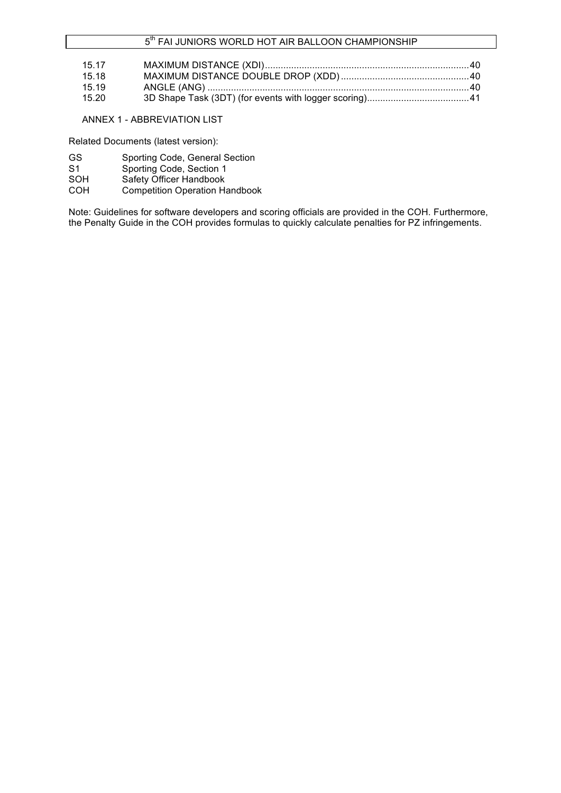## 5<sup>th</sup> FAI JUNIORS WORLD HOT AIR BALLOON CHAMPIONSHIP

| 15.17 |  |
|-------|--|
| 15.18 |  |
| 15.19 |  |
| 15.20 |  |

### ANNEX 1 - ABBREVIATION LIST

Related Documents (latest version):

- GS Sporting Code, General Section
- S1 Sporting Code, Section 1
- SOH Safety Officer Handbook
- COH Competition Operation Handbook

Note: Guidelines for software developers and scoring officials are provided in the COH. Furthermore, the Penalty Guide in the COH provides formulas to quickly calculate penalties for PZ infringements.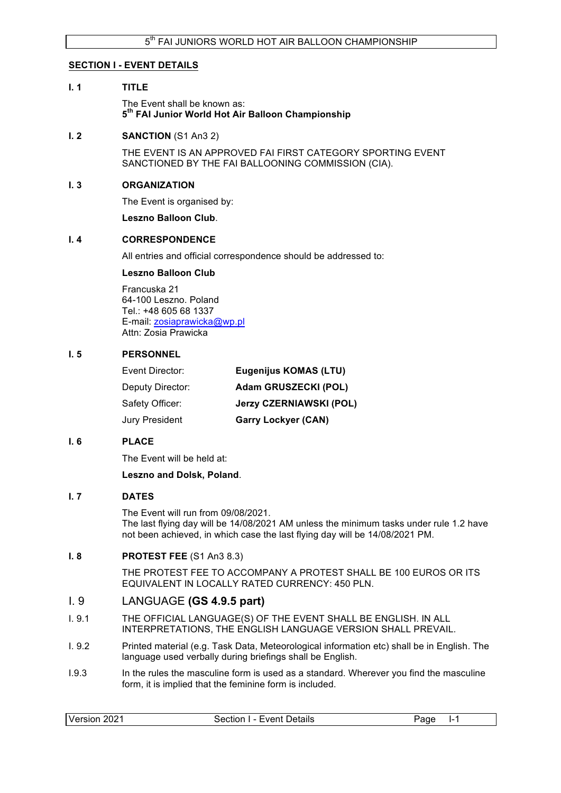### **SECTION I - EVENT DETAILS**

### **I. 1 TITLE**

The Event shall be known as: **5th FAI Junior World Hot Air Balloon Championship**

### **I. 2 SANCTION** (S1 An3 2)

THE EVENT IS AN APPROVED FAI FIRST CATEGORY SPORTING EVENT SANCTIONED BY THE FAI BALLOONING COMMISSION (CIA).

### **I. 3 ORGANIZATION**

The Event is organised by:

**Leszno Balloon Club**.

### **I. 4 CORRESPONDENCE**

All entries and official correspondence should be addressed to:

### **Leszno Balloon Club**

Francuska 21 64-100 Leszno. Poland Tel.: +48 605 68 1337 E-mail: zosiaprawicka@wp.pl Attn: Zosia Prawicka

### **I. 5 PERSONNEL**

| <b>Eugenijus KOMAS (LTU)</b>   |
|--------------------------------|
| <b>Adam GRUSZECKI (POL)</b>    |
| <b>Jerzy CZERNIAWSKI (POL)</b> |
| <b>Garry Lockyer (CAN)</b>     |
|                                |

### **I. 6 PLACE**

The Event will be held at:

#### **Leszno and Dolsk, Poland**.

#### **I. 7 DATES**

The Event will run from 09/08/2021. The last flying day will be 14/08/2021 AM unless the minimum tasks under rule 1.2 have not been achieved, in which case the last flying day will be 14/08/2021 PM.

### **I. 8 PROTEST FEE** (S1 An3 8.3)

THE PROTEST FEE TO ACCOMPANY A PROTEST SHALL BE 100 EUROS OR ITS EQUIVALENT IN LOCALLY RATED CURRENCY: 450 PLN.

## I. 9 LANGUAGE **(GS 4.9.5 part)**

- I. 9.1 THE OFFICIAL LANGUAGE(S) OF THE EVENT SHALL BE ENGLISH. IN ALL INTERPRETATIONS, THE ENGLISH LANGUAGE VERSION SHALL PREVAIL.
- I. 9.2 Printed material (e.g. Task Data, Meteorological information etc) shall be in English. The language used verbally during briefings shall be English.
- I.9.3 In the rules the masculine form is used as a standard. Wherever you find the masculine form, it is implied that the feminine form is included.

| Version<br>. 2021 | <b>Event Details</b><br>Section '<br>$\overline{\phantom{a}}$ | Page<br>. . |
|-------------------|---------------------------------------------------------------|-------------|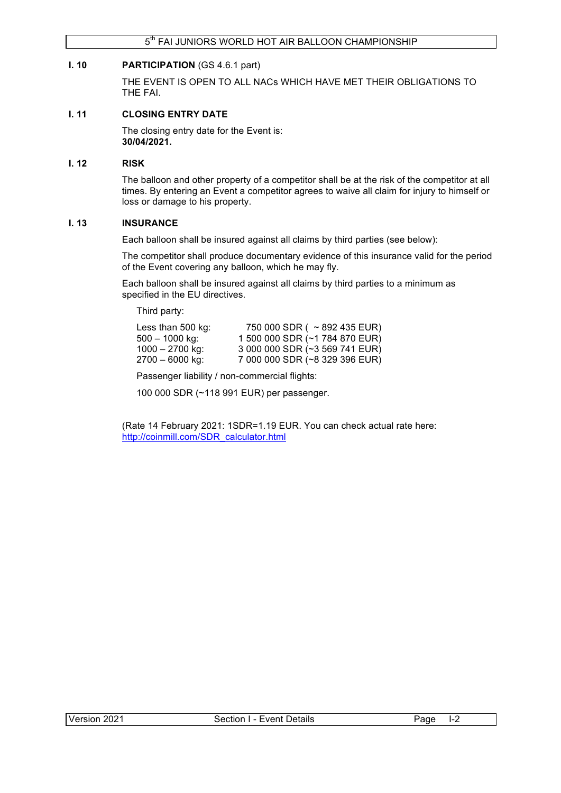### **I. 10 PARTICIPATION** (GS 4.6.1 part)

THE EVENT IS OPEN TO ALL NACs WHICH HAVE MET THEIR OBLIGATIONS TO THE FAI.

## **I. 11 CLOSING ENTRY DATE**

The closing entry date for the Event is: **30/04/2021.**

### **I. 12 RISK**

The balloon and other property of a competitor shall be at the risk of the competitor at all times. By entering an Event a competitor agrees to waive all claim for injury to himself or loss or damage to his property.

### **I. 13 INSURANCE**

Each balloon shall be insured against all claims by third parties (see below):

The competitor shall produce documentary evidence of this insurance valid for the period of the Event covering any balloon, which he may fly.

Each balloon shall be insured against all claims by third parties to a minimum as specified in the EU directives.

Third party:

| Less than $500$ kg: | 750 000 SDR ( $\sim$ 892 435 EUR) |
|---------------------|-----------------------------------|
| $500 - 1000$ kg:    | 1 500 000 SDR (~1 784 870 EUR)    |
| $1000 - 2700$ kg:   | 3 000 000 SDR (~3 569 741 EUR)    |
| $2700 - 6000$ kg:   | 7 000 000 SDR (~8 329 396 EUR)    |

Passenger liability / non-commercial flights:

100 000 SDR (~118 991 EUR) per passenger.

(Rate 14 February 2021: 1SDR=1.19 EUR. You can check actual rate here: http://coinmill.com/SDR\_calculator.html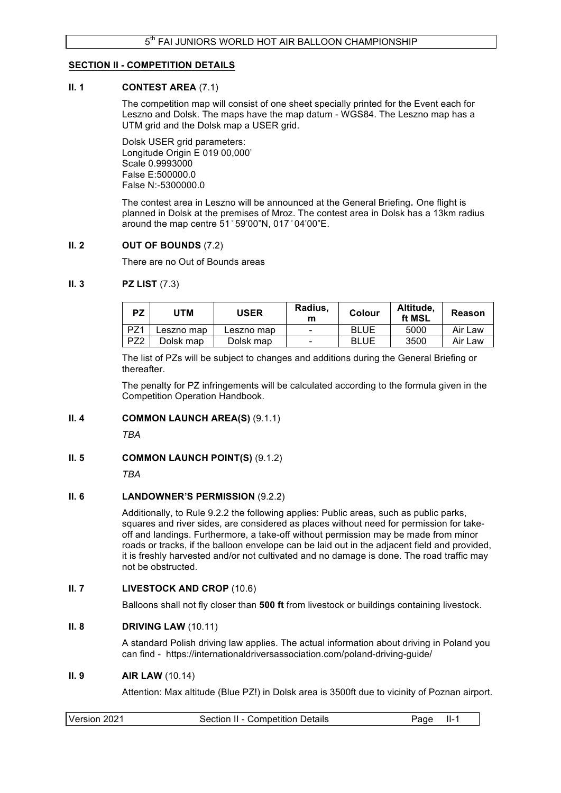### **SECTION II - COMPETITION DETAILS**

### **II. 1 CONTEST AREA** (7.1)

The competition map will consist of one sheet specially printed for the Event each for Leszno and Dolsk. The maps have the map datum - WGS84. The Leszno map has a UTM grid and the Dolsk map a USER grid.

Dolsk USER grid parameters: Longitude Origin E 019 00,000' Scale 0.9993000 False E:500000.0 False N:-5300000.0

The contest area in Leszno will be announced at the General Briefing. One flight is planned in Dolsk at the premises of Mroz. The contest area in Dolsk has a 13km radius around the map centre 51 ̊ 59'00"N, 017 ̊ 04'00"E.

### **II. 2 OUT OF BOUNDS** (7.2)

There are no Out of Bounds areas

### **II. 3 PZ LIST** (7.3)

| <b>PZ</b>       | JTM        | <b>USER</b> | Radius,<br>m             | Colour      | Altitude.<br>ft MSL | Reason  |
|-----------------|------------|-------------|--------------------------|-------------|---------------------|---------|
| PZ <sub>1</sub> | Leszno map | Leszno map  | $\overline{\phantom{0}}$ | <b>BLUE</b> | 5000                | Air Law |
| PZ2             | Dolsk map  | Dolsk map   | $\overline{\phantom{0}}$ | <b>BLUE</b> | 3500                | Air Law |

The list of PZs will be subject to changes and additions during the General Briefing or thereafter.

The penalty for PZ infringements will be calculated according to the formula given in the Competition Operation Handbook.

## **II. 4 COMMON LAUNCH AREA(S)** (9.1.1)

*TBA*

### **II. 5 COMMON LAUNCH POINT(S) (9.1.2)**

*TBA*

### **II. 6 LANDOWNER'S PERMISSION** (9.2.2)

Additionally, to Rule 9.2.2 the following applies: Public areas, such as public parks, squares and river sides, are considered as places without need for permission for takeoff and landings. Furthermore, a take-off without permission may be made from minor roads or tracks, if the balloon envelope can be laid out in the adjacent field and provided, it is freshly harvested and/or not cultivated and no damage is done. The road traffic may not be obstructed.

### **II. 7 LIVESTOCK AND CROP** (10.6)

Balloons shall not fly closer than **500 ft** from livestock or buildings containing livestock.

### **II. 8 DRIVING LAW** (10.11)

A standard Polish driving law applies. The actual information about driving in Poland you can find - https://internationaldriversassociation.com/poland-driving-guide/

### **II. 9 AIR LAW** (10.14)

Attention: Max altitude (Blue PZ!) in Dolsk area is 3500ft due to vicinity of Poznan airport.

| Version 2021<br>Section II - Competition Details<br>$II-1$<br>Page |
|--------------------------------------------------------------------|
|--------------------------------------------------------------------|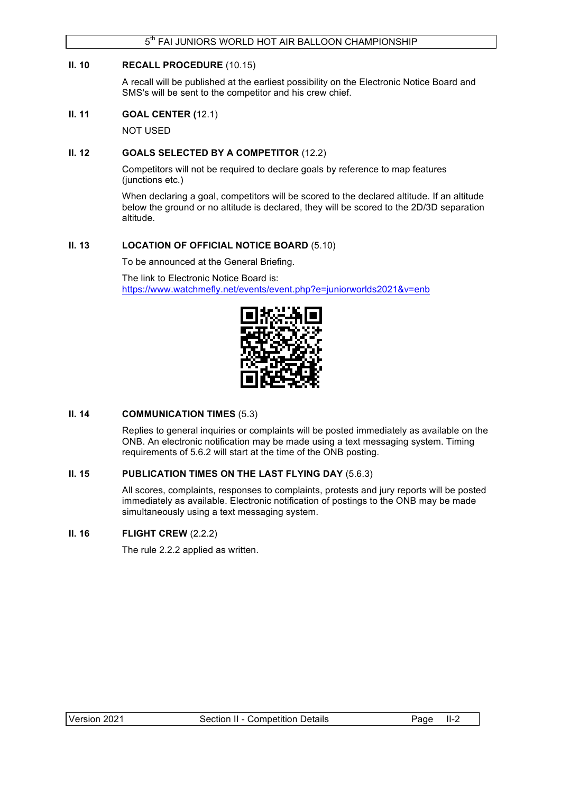### **II. 10 RECALL PROCEDURE** (10.15)

A recall will be published at the earliest possibility on the Electronic Notice Board and SMS's will be sent to the competitor and his crew chief.

#### **II. 11 GOAL CENTER (**12.1)

NOT USED

### **II. 12 GOALS SELECTED BY A COMPETITOR** (12.2)

Competitors will not be required to declare goals by reference to map features (junctions etc.)

When declaring a goal, competitors will be scored to the declared altitude. If an altitude below the ground or no altitude is declared, they will be scored to the 2D/3D separation altitude.

### **II. 13 LOCATION OF OFFICIAL NOTICE BOARD** (5.10)

To be announced at the General Briefing.

The link to Electronic Notice Board is: https://www.watchmefly.net/events/event.php?e=juniorworlds2021&v=enb



### **II. 14 COMMUNICATION TIMES** (5.3)

Replies to general inquiries or complaints will be posted immediately as available on the ONB. An electronic notification may be made using a text messaging system. Timing requirements of 5.6.2 will start at the time of the ONB posting.

### **II. 15 PUBLICATION TIMES ON THE LAST FLYING DAY** (5.6.3)

All scores, complaints, responses to complaints, protests and jury reports will be posted immediately as available. Electronic notification of postings to the ONB may be made simultaneously using a text messaging system.

## **II. 16 FLIGHT CREW** (2.2.2)

The rule 2.2.2 applied as written.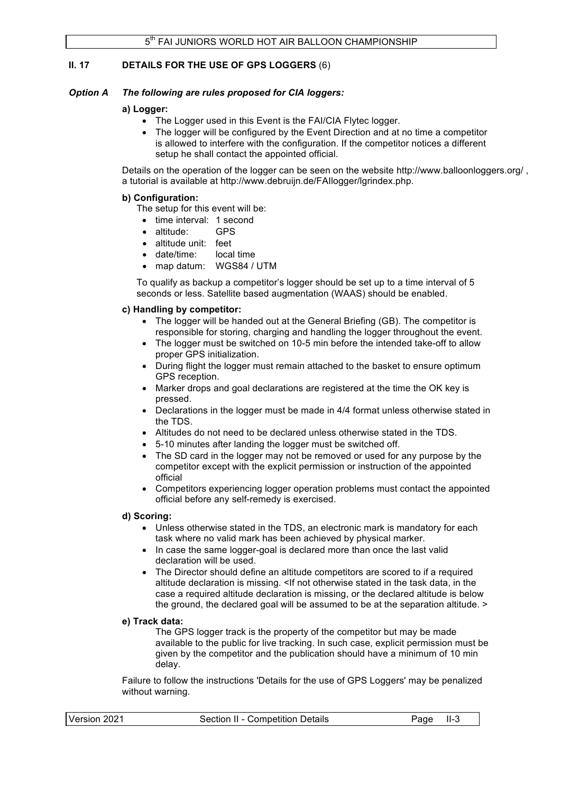## **II. 17 DETAILS FOR THE USE OF GPS LOGGERS** (6)

### *Option A The following are rules proposed for CIA loggers:*

#### **a) Logger:**

- The Logger used in this Event is the FAI/CIA Flytec logger.
- The logger will be configured by the Event Direction and at no time a competitor is allowed to interfere with the configuration. If the competitor notices a different setup he shall contact the appointed official.

Details on the operation of the logger can be seen on the website http://www.balloonloggers.org/ , a tutorial is available at http://www.debruijn.de/FAIlogger/lgrindex.php.

#### **b) Configuration:**

- The setup for this event will be:
	- time interval: 1 second
	- altitude: GPS
	- altitude unit: feet
	- date/time: local time
	- map datum: WGS84 / UTM

To qualify as backup a competitor's logger should be set up to a time interval of 5 seconds or less. Satellite based augmentation (WAAS) should be enabled.

#### **c) Handling by competitor:**

- The logger will be handed out at the General Briefing (GB). The competitor is responsible for storing, charging and handling the logger throughout the event.
- The logger must be switched on 10-5 min before the intended take-off to allow proper GPS initialization.
- During flight the logger must remain attached to the basket to ensure optimum GPS reception.
- Marker drops and goal declarations are registered at the time the OK key is pressed.
- Declarations in the logger must be made in 4/4 format unless otherwise stated in the TDS.
- Altitudes do not need to be declared unless otherwise stated in the TDS.
- 5-10 minutes after landing the logger must be switched off.
- The SD card in the logger may not be removed or used for any purpose by the competitor except with the explicit permission or instruction of the appointed official
- Competitors experiencing logger operation problems must contact the appointed official before any self-remedy is exercised.

#### **d) Scoring:**

- Unless otherwise stated in the TDS, an electronic mark is mandatory for each task where no valid mark has been achieved by physical marker.
- In case the same logger-goal is declared more than once the last valid declaration will be used.
- The Director should define an altitude competitors are scored to if a required altitude declaration is missing. <If not otherwise stated in the task data, in the case a required altitude declaration is missing, or the declared altitude is below the ground, the declared goal will be assumed to be at the separation altitude. >

#### **e) Track data:**

The GPS logger track is the property of the competitor but may be made available to the public for live tracking. In such case, explicit permission must be given by the competitor and the publication should have a minimum of 10 min delay.

Failure to follow the instructions 'Details for the use of GPS Loggers' may be penalized without warning.

| Version 2021<br>Section II - Competition Details | Page II-3 |
|--------------------------------------------------|-----------|
|--------------------------------------------------|-----------|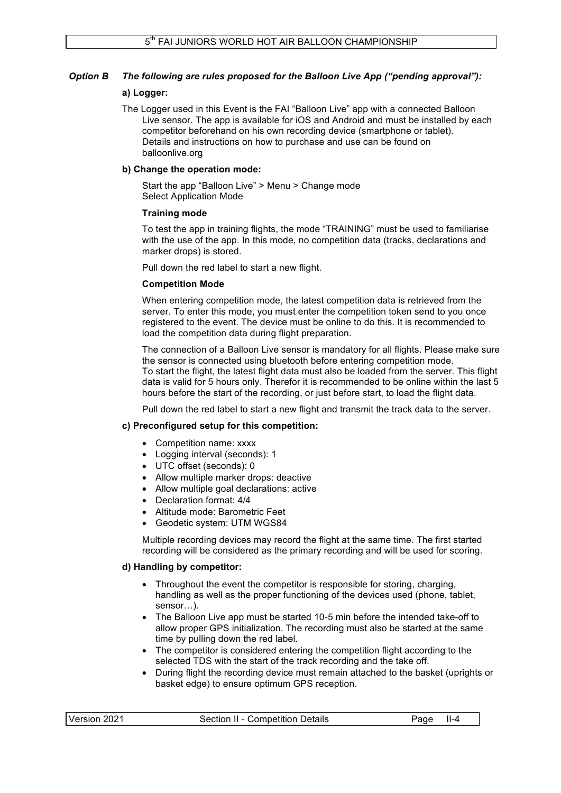## *Option B The following are rules proposed for the Balloon Live App ("pending approval"):*

## **a) Logger:**

The Logger used in this Event is the FAI "Balloon Live" app with a connected Balloon Live sensor. The app is available for iOS and Android and must be installed by each competitor beforehand on his own recording device (smartphone or tablet). Details and instructions on how to purchase and use can be found on balloonlive.org

### **b) Change the operation mode:**

Start the app "Balloon Live" > Menu > Change mode Select Application Mode

### **Training mode**

To test the app in training flights, the mode "TRAINING" must be used to familiarise with the use of the app. In this mode, no competition data (tracks, declarations and marker drops) is stored.

Pull down the red label to start a new flight.

## **Competition Mode**

When entering competition mode, the latest competition data is retrieved from the server. To enter this mode, you must enter the competition token send to you once registered to the event. The device must be online to do this. It is recommended to load the competition data during flight preparation.

The connection of a Balloon Live sensor is mandatory for all flights. Please make sure the sensor is connected using bluetooth before entering competition mode. To start the flight, the latest flight data must also be loaded from the server. This flight data is valid for 5 hours only. Therefor it is recommended to be online within the last 5 hours before the start of the recording, or just before start, to load the flight data.

Pull down the red label to start a new flight and transmit the track data to the server.

## **c) Preconfigured setup for this competition:**

- Competition name: xxxx
- Logging interval (seconds): 1
- UTC offset (seconds): 0
- Allow multiple marker drops: deactive
- Allow multiple goal declarations: active
- Declaration format: 4/4
- Altitude mode: Barometric Feet
- Geodetic system: UTM WGS84

Multiple recording devices may record the flight at the same time. The first started recording will be considered as the primary recording and will be used for scoring.

### **d) Handling by competitor:**

- Throughout the event the competitor is responsible for storing, charging, handling as well as the proper functioning of the devices used (phone, tablet, sensor )
- The Balloon Live app must be started 10-5 min before the intended take-off to allow proper GPS initialization. The recording must also be started at the same time by pulling down the red label.
- The competitor is considered entering the competition flight according to the selected TDS with the start of the track recording and the take off.
- During flight the recording device must remain attached to the basket (uprights or basket edge) to ensure optimum GPS reception.

| Version 2021 | Section II - Competition Details | Page | II-4 |
|--------------|----------------------------------|------|------|
|              |                                  |      |      |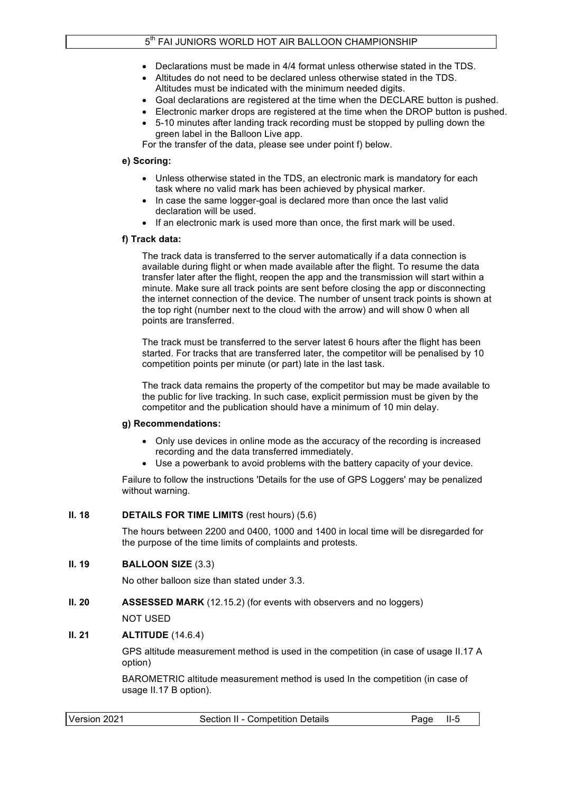- Declarations must be made in 4/4 format unless otherwise stated in the TDS.
- Altitudes do not need to be declared unless otherwise stated in the TDS. Altitudes must be indicated with the minimum needed digits.
- Goal declarations are registered at the time when the DECLARE button is pushed.
- Electronic marker drops are registered at the time when the DROP button is pushed.
- 5-10 minutes after landing track recording must be stopped by pulling down the green label in the Balloon Live app.

For the transfer of the data, please see under point f) below.

### **e) Scoring:**

- Unless otherwise stated in the TDS, an electronic mark is mandatory for each task where no valid mark has been achieved by physical marker.
- In case the same logger-goal is declared more than once the last valid declaration will be used.
- If an electronic mark is used more than once, the first mark will be used.

## **f) Track data:**

The track data is transferred to the server automatically if a data connection is available during flight or when made available after the flight. To resume the data transfer later after the flight, reopen the app and the transmission will start within a minute. Make sure all track points are sent before closing the app or disconnecting the internet connection of the device. The number of unsent track points is shown at the top right (number next to the cloud with the arrow) and will show 0 when all points are transferred.

The track must be transferred to the server latest 6 hours after the flight has been started. For tracks that are transferred later, the competitor will be penalised by 10 competition points per minute (or part) late in the last task.

The track data remains the property of the competitor but may be made available to the public for live tracking. In such case, explicit permission must be given by the competitor and the publication should have a minimum of 10 min delay.

### **g) Recommendations:**

- Only use devices in online mode as the accuracy of the recording is increased recording and the data transferred immediately.
- Use a powerbank to avoid problems with the battery capacity of your device.

Failure to follow the instructions 'Details for the use of GPS Loggers' may be penalized without warning.

### **II. 18 DETAILS FOR TIME LIMITS** (rest hours) (5.6)

The hours between 2200 and 0400, 1000 and 1400 in local time will be disregarded for the purpose of the time limits of complaints and protests.

## **II. 19 BALLOON SIZE** (3.3)

No other balloon size than stated under 3.3.

## **II. 20 ASSESSED MARK** (12.15.2) (for events with observers and no loggers)

NOT USED

## **II. 21 ALTITUDE** (14.6.4)

GPS altitude measurement method is used in the competition (in case of usage II.17 A option)

BAROMETRIC altitude measurement method is used In the competition (in case of usage II.17 B option).

| Version 2021<br>Section II - Competition Details<br>Page II-5 |  |
|---------------------------------------------------------------|--|
|---------------------------------------------------------------|--|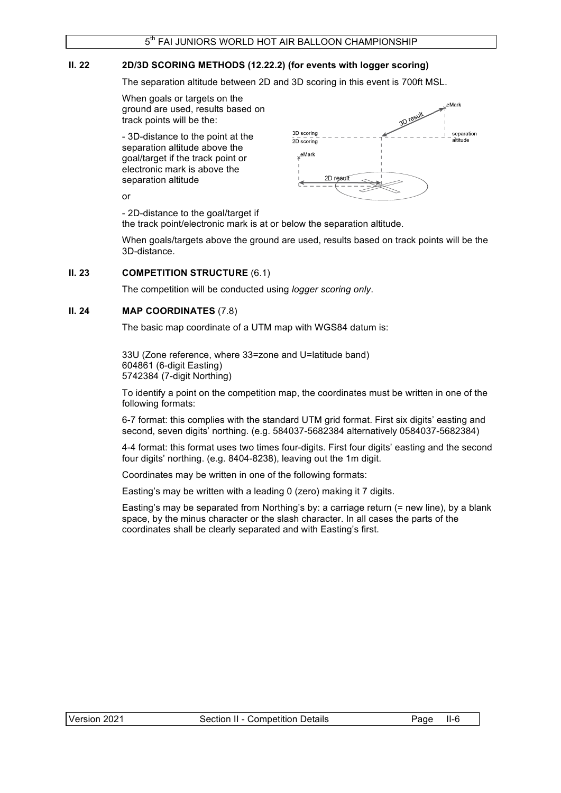## **II. 22 2D/3D SCORING METHODS (12.22.2) (for events with logger scoring)**

The separation altitude between 2D and 3D scoring in this event is 700ft MSL.

When goals or targets on the ground are used, results based on track points will be the:

- 3D-distance to the point at the separation altitude above the goal/target if the track point or electronic mark is above the separation altitude



or

- 2D-distance to the goal/target if

the track point/electronic mark is at or below the separation altitude.

When goals/targets above the ground are used, results based on track points will be the 3D-distance.

### **II. 23 COMPETITION STRUCTURE**  $(6.1)$

The competition will be conducted using *logger scoring only*.

### **II. 24 MAP COORDINATES** (7.8)

The basic map coordinate of a UTM map with WGS84 datum is:

33U (Zone reference, where 33=zone and U=latitude band) 604861 (6-digit Easting) 5742384 (7-digit Northing)

To identify a point on the competition map, the coordinates must be written in one of the following formats:

6-7 format: this complies with the standard UTM grid format. First six digits' easting and second, seven digits' northing. (e.g. 584037-5682384 alternatively 0584037-5682384)

4-4 format: this format uses two times four-digits. First four digits' easting and the second four digits' northing. (e.g. 8404-8238), leaving out the 1m digit.

Coordinates may be written in one of the following formats:

Easting's may be written with a leading 0 (zero) making it 7 digits.

Easting's may be separated from Northing's by: a carriage return (= new line), by a blank space, by the minus character or the slash character. In all cases the parts of the coordinates shall be clearly separated and with Easting's first.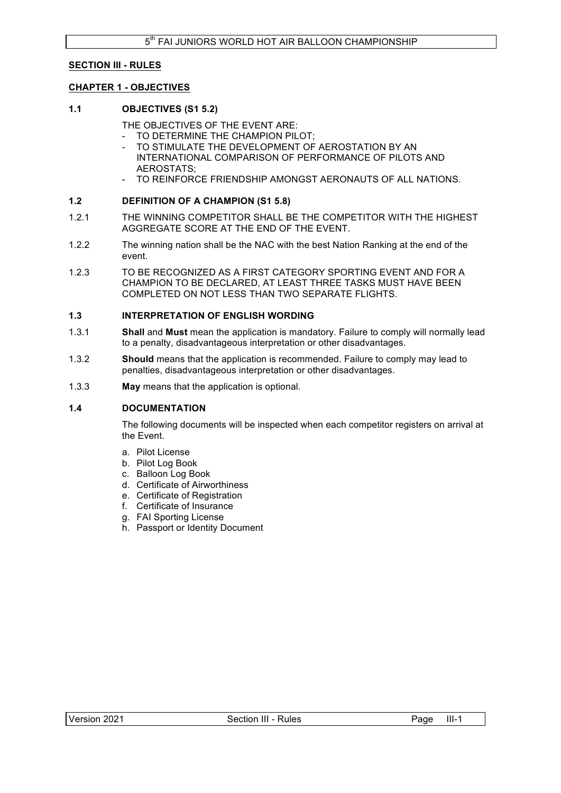## **SECTION III - RULES**

### **CHAPTER 1 - OBJECTIVES**

### **1.1 OBJECTIVES (S1 5.2)**

THE OBJECTIVES OF THE EVENT ARE:

- TO DETERMINE THE CHAMPION PILOT;
- TO STIMULATE THE DEVELOPMENT OF AEROSTATION BY AN INTERNATIONAL COMPARISON OF PERFORMANCE OF PILOTS AND AEROSTATS;
- TO REINFORCE FRIENDSHIP AMONGST AERONAUTS OF ALL NATIONS.

### **1.2 DEFINITION OF A CHAMPION (S1 5.8)**

- 1.2.1 THE WINNING COMPETITOR SHALL BE THE COMPETITOR WITH THE HIGHEST AGGREGATE SCORE AT THE END OF THE EVENT.
- 1.2.2 The winning nation shall be the NAC with the best Nation Ranking at the end of the event.
- 1.2.3 TO BE RECOGNIZED AS A FIRST CATEGORY SPORTING EVENT AND FOR A CHAMPION TO BE DECLARED, AT LEAST THREE TASKS MUST HAVE BEEN COMPLETED ON NOT LESS THAN TWO SEPARATE FLIGHTS.

#### **1.3 INTERPRETATION OF ENGLISH WORDING**

- 1.3.1 **Shall** and **Must** mean the application is mandatory. Failure to comply will normally lead to a penalty, disadvantageous interpretation or other disadvantages.
- 1.3.2 **Should** means that the application is recommended. Failure to comply may lead to penalties, disadvantageous interpretation or other disadvantages.
- 1.3.3 **May** means that the application is optional.

### **1.4 DOCUMENTATION**

The following documents will be inspected when each competitor registers on arrival at the Event.

- a. Pilot License
- b. Pilot Log Book
- c. Balloon Log Book
- d. Certificate of Airworthiness
- e. Certificate of Registration
- f. Certificate of Insurance
- g. FAI Sporting License
- h. Passport or Identity Document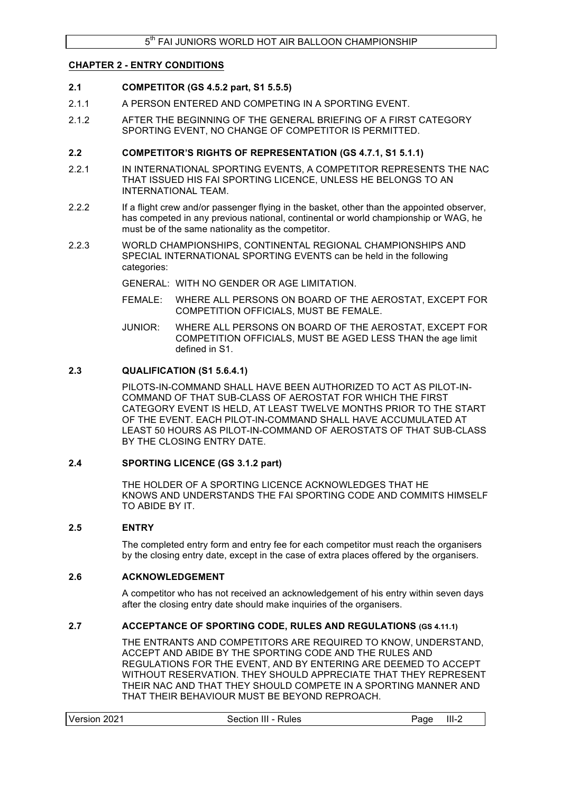### **CHAPTER 2 - ENTRY CONDITIONS**

### **2.1 COMPETITOR (GS 4.5.2 part, S1 5.5.5)**

- 2.1.1 A PERSON ENTERED AND COMPETING IN A SPORTING EVENT.
- 2.1.2 AFTER THE BEGINNING OF THE GENERAL BRIEFING OF A FIRST CATEGORY SPORTING EVENT, NO CHANGE OF COMPETITOR IS PERMITTED.

### **2.2 COMPETITOR'S RIGHTS OF REPRESENTATION (GS 4.7.1, S1 5.1.1)**

- 2.2.1 IN INTERNATIONAL SPORTING EVENTS, A COMPETITOR REPRESENTS THE NAC THAT ISSUED HIS FAI SPORTING LICENCE, UNLESS HE BELONGS TO AN INTERNATIONAL TEAM.
- 2.2.2 If a flight crew and/or passenger flying in the basket, other than the appointed observer, has competed in any previous national, continental or world championship or WAG, he must be of the same nationality as the competitor.
- 2.2.3 WORLD CHAMPIONSHIPS, CONTINENTAL REGIONAL CHAMPIONSHIPS AND SPECIAL INTERNATIONAL SPORTING EVENTS can be held in the following categories:

GENERAL: WITH NO GENDER OR AGE LIMITATION.

- FEMALE: WHERE ALL PERSONS ON BOARD OF THE AEROSTAT, EXCEPT FOR COMPETITION OFFICIALS, MUST BE FEMALE.
- JUNIOR: WHERE ALL PERSONS ON BOARD OF THE AEROSTAT, EXCEPT FOR COMPETITION OFFICIALS, MUST BE AGED LESS THAN the age limit defined in S1.

### **2.3 QUALIFICATION (S1 5.6.4.1)**

PILOTS-IN-COMMAND SHALL HAVE BEEN AUTHORIZED TO ACT AS PILOT-IN-COMMAND OF THAT SUB-CLASS OF AEROSTAT FOR WHICH THE FIRST CATEGORY EVENT IS HELD, AT LEAST TWELVE MONTHS PRIOR TO THE START OF THE EVENT. EACH PILOT-IN-COMMAND SHALL HAVE ACCUMULATED AT LEAST 50 HOURS AS PILOT-IN-COMMAND OF AEROSTATS OF THAT SUB-CLASS BY THE CLOSING ENTRY DATE.

#### **2.4 SPORTING LICENCE (GS 3.1.2 part)**

THE HOLDER OF A SPORTING LICENCE ACKNOWLEDGES THAT HE KNOWS AND UNDERSTANDS THE FAI SPORTING CODE AND COMMITS HIMSELF TO ABIDE BY IT.

### **2.5 ENTRY**

The completed entry form and entry fee for each competitor must reach the organisers by the closing entry date, except in the case of extra places offered by the organisers.

### **2.6 ACKNOWLEDGEMENT**

A competitor who has not received an acknowledgement of his entry within seven days after the closing entry date should make inquiries of the organisers.

### **2.7 ACCEPTANCE OF SPORTING CODE, RULES AND REGULATIONS (GS 4.11.1)**

THE ENTRANTS AND COMPETITORS ARE REQUIRED TO KNOW, UNDERSTAND, ACCEPT AND ABIDE BY THE SPORTING CODE AND THE RULES AND REGULATIONS FOR THE EVENT, AND BY ENTERING ARE DEEMED TO ACCEPT WITHOUT RESERVATION. THEY SHOULD APPRECIATE THAT THEY REPRESENT THEIR NAC AND THAT THEY SHOULD COMPETE IN A SPORTING MANNER AND THAT THEIR BEHAVIOUR MUST BE BEYOND REPROACH.

|--|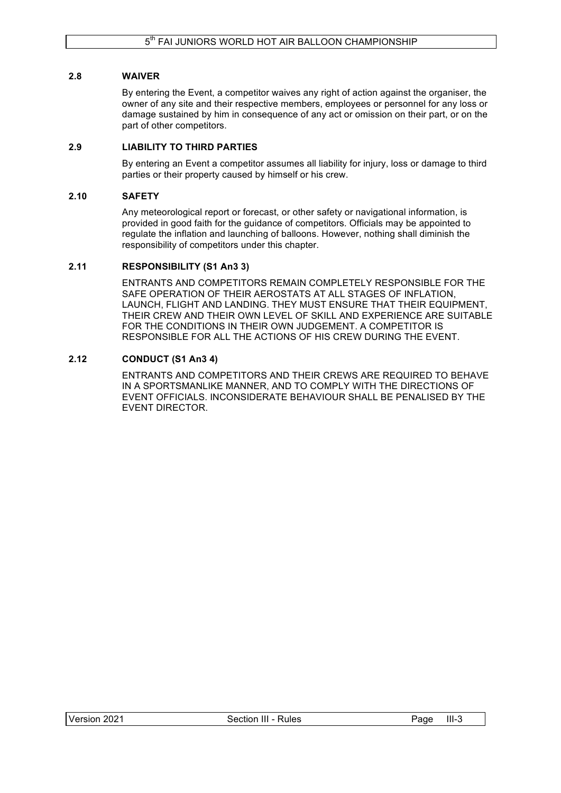## **2.8 WAIVER**

By entering the Event, a competitor waives any right of action against the organiser, the owner of any site and their respective members, employees or personnel for any loss or damage sustained by him in consequence of any act or omission on their part, or on the part of other competitors.

## **2.9 LIABILITY TO THIRD PARTIES**

By entering an Event a competitor assumes all liability for injury, loss or damage to third parties or their property caused by himself or his crew.

## **2.10 SAFETY**

Any meteorological report or forecast, or other safety or navigational information, is provided in good faith for the guidance of competitors. Officials may be appointed to regulate the inflation and launching of balloons. However, nothing shall diminish the responsibility of competitors under this chapter.

## **2.11 RESPONSIBILITY (S1 An3 3)**

ENTRANTS AND COMPETITORS REMAIN COMPLETELY RESPONSIBLE FOR THE SAFE OPERATION OF THEIR AEROSTATS AT ALL STAGES OF INFLATION, LAUNCH, FLIGHT AND LANDING. THEY MUST ENSURE THAT THEIR EQUIPMENT, THEIR CREW AND THEIR OWN LEVEL OF SKILL AND EXPERIENCE ARE SUITABLE FOR THE CONDITIONS IN THEIR OWN JUDGEMENT. A COMPETITOR IS RESPONSIBLE FOR ALL THE ACTIONS OF HIS CREW DURING THE EVENT.

## **2.12 CONDUCT (S1 An3 4)**

ENTRANTS AND COMPETITORS AND THEIR CREWS ARE REQUIRED TO BEHAVE IN A SPORTSMANLIKE MANNER, AND TO COMPLY WITH THE DIRECTIONS OF EVENT OFFICIALS. INCONSIDERATE BEHAVIOUR SHALL BE PENALISED BY THE EVENT DIRECTOR.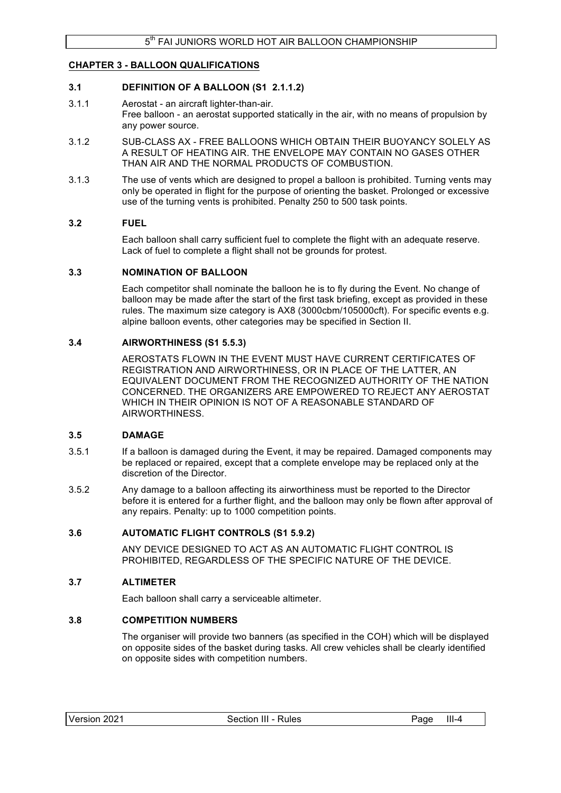### **CHAPTER 3 - BALLOON QUALIFICATIONS**

### **3.1 DEFINITION OF A BALLOON (S1 2.1.1.2)**

- 3.1.1 Aerostat an aircraft lighter-than-air. Free balloon - an aerostat supported statically in the air, with no means of propulsion by any power source.
- 3.1.2 SUB-CLASS AX FREE BALLOONS WHICH OBTAIN THEIR BUOYANCY SOLELY AS A RESULT OF HEATING AIR. THE ENVELOPE MAY CONTAIN NO GASES OTHER THAN AIR AND THE NORMAL PRODUCTS OF COMBUSTION.
- 3.1.3 The use of vents which are designed to propel a balloon is prohibited. Turning vents may only be operated in flight for the purpose of orienting the basket. Prolonged or excessive use of the turning vents is prohibited. Penalty 250 to 500 task points.

### **3.2 FUEL**

Each balloon shall carry sufficient fuel to complete the flight with an adequate reserve. Lack of fuel to complete a flight shall not be grounds for protest.

### **3.3 NOMINATION OF BALLOON**

Each competitor shall nominate the balloon he is to fly during the Event. No change of balloon may be made after the start of the first task briefing, except as provided in these rules. The maximum size category is AX8 (3000cbm/105000cft). For specific events e.g. alpine balloon events, other categories may be specified in Section II.

### **3.4 AIRWORTHINESS (S1 5.5.3)**

AEROSTATS FLOWN IN THE EVENT MUST HAVE CURRENT CERTIFICATES OF REGISTRATION AND AIRWORTHINESS, OR IN PLACE OF THE LATTER, AN EQUIVALENT DOCUMENT FROM THE RECOGNIZED AUTHORITY OF THE NATION CONCERNED. THE ORGANIZERS ARE EMPOWERED TO REJECT ANY AEROSTAT WHICH IN THEIR OPINION IS NOT OF A REASONABLE STANDARD OF AIRWORTHINESS.

#### **3.5 DAMAGE**

- 3.5.1 If a balloon is damaged during the Event, it may be repaired. Damaged components may be replaced or repaired, except that a complete envelope may be replaced only at the discretion of the Director.
- 3.5.2 Any damage to a balloon affecting its airworthiness must be reported to the Director before it is entered for a further flight, and the balloon may only be flown after approval of any repairs. Penalty: up to 1000 competition points.

### **3.6 AUTOMATIC FLIGHT CONTROLS (S1 5.9.2)**

ANY DEVICE DESIGNED TO ACT AS AN AUTOMATIC FLIGHT CONTROL IS PROHIBITED, REGARDLESS OF THE SPECIFIC NATURE OF THE DEVICE.

### **3.7 ALTIMETER**

Each balloon shall carry a serviceable altimeter.

#### **3.8 COMPETITION NUMBERS**

The organiser will provide two banners (as specified in the COH) which will be displayed on opposite sides of the basket during tasks. All crew vehicles shall be clearly identified on opposite sides with competition numbers.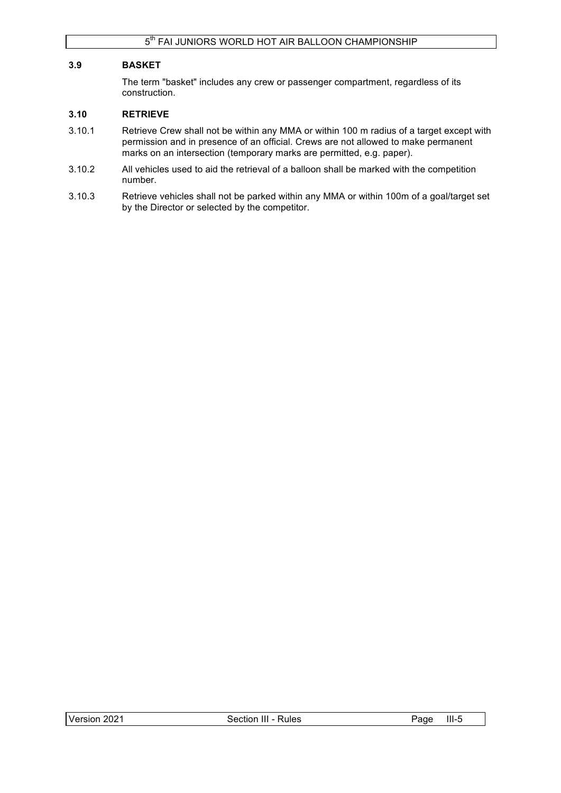## **3.9 BASKET**

The term "basket" includes any crew or passenger compartment, regardless of its construction.

### **3.10 RETRIEVE**

- 3.10.1 Retrieve Crew shall not be within any MMA or within 100 m radius of a target except with permission and in presence of an official. Crews are not allowed to make permanent marks on an intersection (temporary marks are permitted, e.g. paper).
- 3.10.2 All vehicles used to aid the retrieval of a balloon shall be marked with the competition number.
- 3.10.3 Retrieve vehicles shall not be parked within any MMA or within 100m of a goal/target set by the Director or selected by the competitor.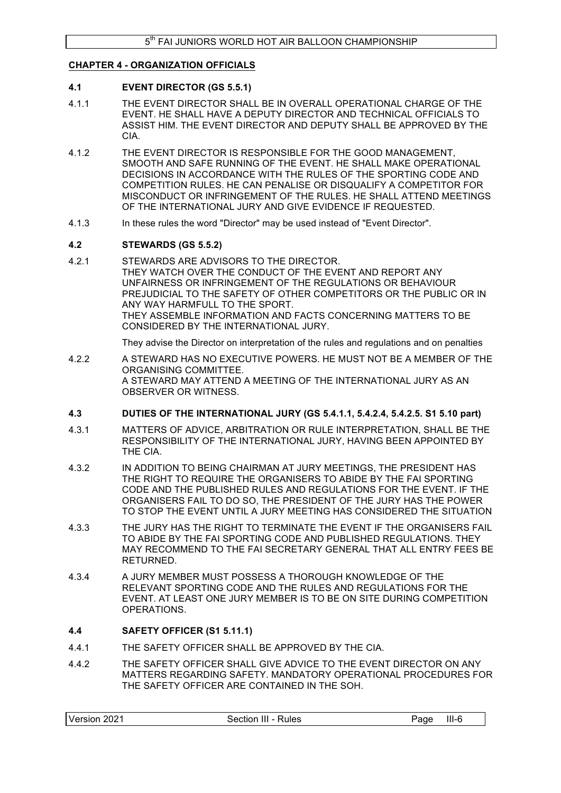### **CHAPTER 4 - ORGANIZATION OFFICIALS**

### **4.1 EVENT DIRECTOR (GS 5.5.1)**

- 4.1.1 THE EVENT DIRECTOR SHALL BE IN OVERALL OPERATIONAL CHARGE OF THE EVENT. HE SHALL HAVE A DEPUTY DIRECTOR AND TECHNICAL OFFICIALS TO ASSIST HIM. THE EVENT DIRECTOR AND DEPUTY SHALL BE APPROVED BY THE CIA.
- 4.1.2 THE EVENT DIRECTOR IS RESPONSIBLE FOR THE GOOD MANAGEMENT, SMOOTH AND SAFE RUNNING OF THE EVENT. HE SHALL MAKE OPERATIONAL DECISIONS IN ACCORDANCE WITH THE RULES OF THE SPORTING CODE AND COMPETITION RULES. HE CAN PENALISE OR DISQUALIFY A COMPETITOR FOR MISCONDUCT OR INFRINGEMENT OF THE RULES. HE SHALL ATTEND MEETINGS OF THE INTERNATIONAL JURY AND GIVE EVIDENCE IF REQUESTED.
- 4.1.3 In these rules the word "Director" may be used instead of "Event Director".

### **4.2 STEWARDS (GS 5.5.2)**

4.2.1 STEWARDS ARE ADVISORS TO THE DIRECTOR. THEY WATCH OVER THE CONDUCT OF THE EVENT AND REPORT ANY UNFAIRNESS OR INFRINGEMENT OF THE REGULATIONS OR BEHAVIOUR PREJUDICIAL TO THE SAFETY OF OTHER COMPETITORS OR THE PUBLIC OR IN ANY WAY HARMFULL TO THE SPORT. THEY ASSEMBLE INFORMATION AND FACTS CONCERNING MATTERS TO BE CONSIDERED BY THE INTERNATIONAL JURY.

They advise the Director on interpretation of the rules and regulations and on penalties

4.2.2 A STEWARD HAS NO EXECUTIVE POWERS. HE MUST NOT BE A MEMBER OF THE ORGANISING COMMITTEE. A STEWARD MAY ATTEND A MEETING OF THE INTERNATIONAL JURY AS AN OBSERVER OR WITNESS.

### **4.3 DUTIES OF THE INTERNATIONAL JURY (GS 5.4.1.1, 5.4.2.4, 5.4.2.5. S1 5.10 part)**

- 4.3.1 MATTERS OF ADVICE, ARBITRATION OR RULE INTERPRETATION, SHALL BE THE RESPONSIBILITY OF THE INTERNATIONAL JURY, HAVING BEEN APPOINTED BY THE CIA.
- 4.3.2 IN ADDITION TO BEING CHAIRMAN AT JURY MEETINGS, THE PRESIDENT HAS THE RIGHT TO REQUIRE THE ORGANISERS TO ABIDE BY THE FAI SPORTING CODE AND THE PUBLISHED RULES AND REGULATIONS FOR THE EVENT. IF THE ORGANISERS FAIL TO DO SO, THE PRESIDENT OF THE JURY HAS THE POWER TO STOP THE EVENT UNTIL A JURY MEETING HAS CONSIDERED THE SITUATION
- 4.3.3 THE JURY HAS THE RIGHT TO TERMINATE THE EVENT IF THE ORGANISERS FAIL TO ABIDE BY THE FAI SPORTING CODE AND PUBLISHED REGULATIONS. THEY MAY RECOMMEND TO THE FAI SECRETARY GENERAL THAT ALL ENTRY FEES BE RETURNED.
- 4.3.4 A JURY MEMBER MUST POSSESS A THOROUGH KNOWLEDGE OF THE RELEVANT SPORTING CODE AND THE RULES AND REGULATIONS FOR THE EVENT. AT LEAST ONE JURY MEMBER IS TO BE ON SITE DURING COMPETITION OPERATIONS.

### **4.4 SAFETY OFFICER (S1 5.11.1)**

- 4.4.1 THE SAFETY OFFICER SHALL BE APPROVED BY THE CIA.
- 4.4.2 THE SAFETY OFFICER SHALL GIVE ADVICE TO THE EVENT DIRECTOR ON ANY MATTERS REGARDING SAFETY. MANDATORY OPERATIONAL PROCEDURES FOR THE SAFETY OFFICER ARE CONTAINED IN THE SOH.

| Version<br>$III-6$<br>2021<br>⊟II - Rules<br>aae?<br>Section |  |
|--------------------------------------------------------------|--|
|--------------------------------------------------------------|--|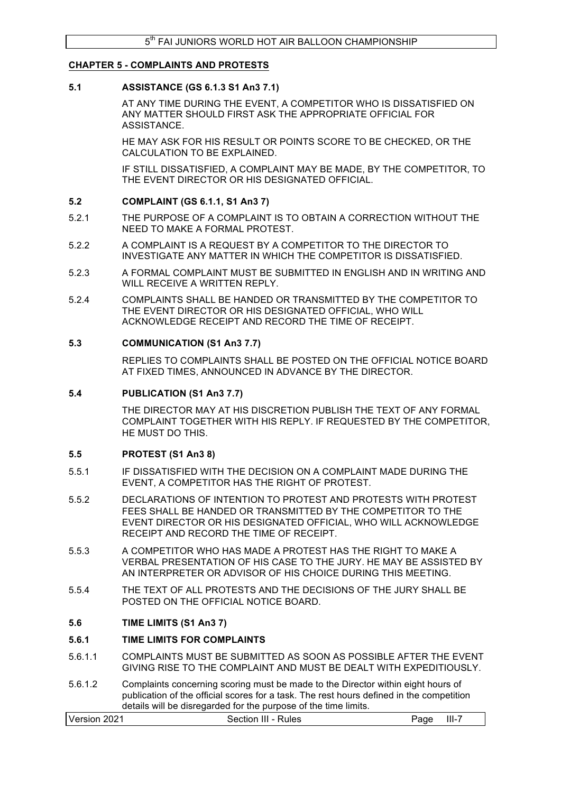### **CHAPTER 5 - COMPLAINTS AND PROTESTS**

### **5.1 ASSISTANCE (GS 6.1.3 S1 An3 7.1)**

AT ANY TIME DURING THE EVENT, A COMPETITOR WHO IS DISSATISFIED ON ANY MATTER SHOULD FIRST ASK THE APPROPRIATE OFFICIAL FOR **ASSISTANCE** 

HE MAY ASK FOR HIS RESULT OR POINTS SCORE TO BE CHECKED, OR THE CALCULATION TO BE EXPLAINED.

IF STILL DISSATISFIED, A COMPLAINT MAY BE MADE, BY THE COMPETITOR, TO THE EVENT DIRECTOR OR HIS DESIGNATED OFFICIAL.

### **5.2 COMPLAINT (GS 6.1.1, S1 An3 7)**

- 5.2.1 THE PURPOSE OF A COMPLAINT IS TO OBTAIN A CORRECTION WITHOUT THE NEED TO MAKE A FORMAL PROTEST.
- 5.2.2 A COMPLAINT IS A REQUEST BY A COMPETITOR TO THE DIRECTOR TO INVESTIGATE ANY MATTER IN WHICH THE COMPETITOR IS DISSATISFIED.
- 5.2.3 A FORMAL COMPLAINT MUST BE SUBMITTED IN ENGLISH AND IN WRITING AND WILL RECEIVE A WRITTEN REPLY.
- 5.2.4 COMPLAINTS SHALL BE HANDED OR TRANSMITTED BY THE COMPETITOR TO THE EVENT DIRECTOR OR HIS DESIGNATED OFFICIAL, WHO WILL ACKNOWLEDGE RECEIPT AND RECORD THE TIME OF RECEIPT.

### **5.3 COMMUNICATION (S1 An3 7.7)**

REPLIES TO COMPLAINTS SHALL BE POSTED ON THE OFFICIAL NOTICE BOARD AT FIXED TIMES, ANNOUNCED IN ADVANCE BY THE DIRECTOR.

### **5.4 PUBLICATION (S1 An3 7.7)**

THE DIRECTOR MAY AT HIS DISCRETION PUBLISH THE TEXT OF ANY FORMAL COMPLAINT TOGETHER WITH HIS REPLY. IF REQUESTED BY THE COMPETITOR, HE MUST DO THIS.

#### **5.5 PROTEST (S1 An3 8)**

- 5.5.1 IF DISSATISFIED WITH THE DECISION ON A COMPLAINT MADE DURING THE EVENT, A COMPETITOR HAS THE RIGHT OF PROTEST.
- 5.5.2 DECLARATIONS OF INTENTION TO PROTEST AND PROTESTS WITH PROTEST FEES SHALL BE HANDED OR TRANSMITTED BY THE COMPETITOR TO THE EVENT DIRECTOR OR HIS DESIGNATED OFFICIAL, WHO WILL ACKNOWLEDGE RECEIPT AND RECORD THE TIME OF RECEIPT.
- 5.5.3 A COMPETITOR WHO HAS MADE A PROTEST HAS THE RIGHT TO MAKE A VERBAL PRESENTATION OF HIS CASE TO THE JURY. HE MAY BE ASSISTED BY AN INTERPRETER OR ADVISOR OF HIS CHOICE DURING THIS MEETING.
- 5.5.4 THE TEXT OF ALL PROTESTS AND THE DECISIONS OF THE JURY SHALL BE POSTED ON THE OFFICIAL NOTICE BOARD.

### **5.6 TIME LIMITS (S1 An3 7)**

#### **5.6.1 TIME LIMITS FOR COMPLAINTS**

- 5.6.1.1 COMPLAINTS MUST BE SUBMITTED AS SOON AS POSSIBLE AFTER THE EVENT GIVING RISE TO THE COMPLAINT AND MUST BE DEALT WITH EXPEDITIOUSLY.
- 5.6.1.2 Complaints concerning scoring must be made to the Director within eight hours of publication of the official scores for a task. The rest hours defined in the competition details will be disregarded for the purpose of the time limits.

| Version 2021        | $III - 7$ |
|---------------------|-----------|
| Section III - Rules | Page      |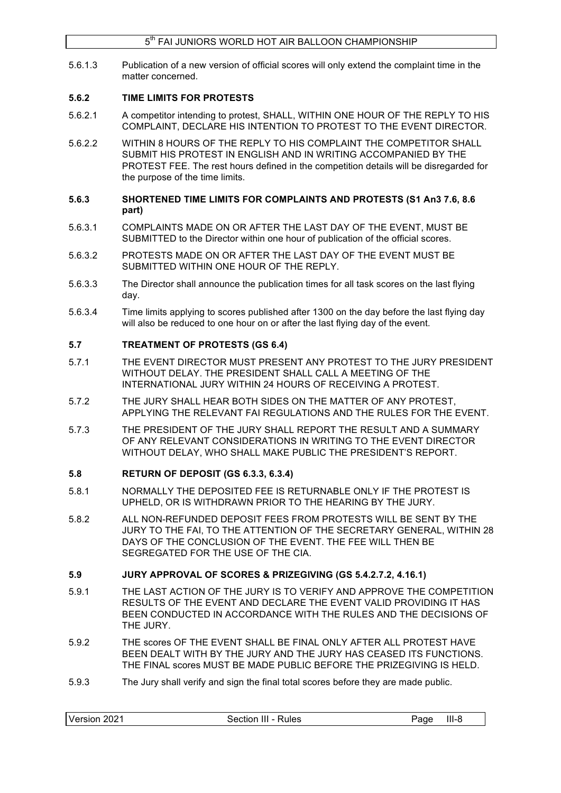5.6.1.3 Publication of a new version of official scores will only extend the complaint time in the matter concerned.

## **5.6.2 TIME LIMITS FOR PROTESTS**

- 5.6.2.1 A competitor intending to protest, SHALL, WITHIN ONE HOUR OF THE REPLY TO HIS COMPLAINT, DECLARE HIS INTENTION TO PROTEST TO THE EVENT DIRECTOR.
- 5.6.2.2 WITHIN 8 HOURS OF THE REPLY TO HIS COMPLAINT THE COMPETITOR SHALL SUBMIT HIS PROTEST IN ENGLISH AND IN WRITING ACCOMPANIED BY THE PROTEST FEE. The rest hours defined in the competition details will be disregarded for the purpose of the time limits.
- **5.6.3 SHORTENED TIME LIMITS FOR COMPLAINTS AND PROTESTS (S1 An3 7.6, 8.6 part)**
- 5.6.3.1 COMPLAINTS MADE ON OR AFTER THE LAST DAY OF THE EVENT, MUST BE SUBMITTED to the Director within one hour of publication of the official scores.
- 5.6.3.2 PROTESTS MADE ON OR AFTER THE LAST DAY OF THE EVENT MUST BE SUBMITTED WITHIN ONE HOUR OF THE REPLY.
- 5.6.3.3 The Director shall announce the publication times for all task scores on the last flying day.
- 5.6.3.4 Time limits applying to scores published after 1300 on the day before the last flying day will also be reduced to one hour on or after the last flying day of the event.

## **5.7 TREATMENT OF PROTESTS (GS 6.4)**

- 5.7.1 THE EVENT DIRECTOR MUST PRESENT ANY PROTEST TO THE JURY PRESIDENT WITHOUT DELAY. THE PRESIDENT SHALL CALL A MEETING OF THE INTERNATIONAL JURY WITHIN 24 HOURS OF RECEIVING A PROTEST.
- 5.7.2 THE JURY SHALL HEAR BOTH SIDES ON THE MATTER OF ANY PROTEST, APPLYING THE RELEVANT FAI REGULATIONS AND THE RULES FOR THE EVENT.
- 5.7.3 THE PRESIDENT OF THE JURY SHALL REPORT THE RESULT AND A SUMMARY OF ANY RELEVANT CONSIDERATIONS IN WRITING TO THE EVENT DIRECTOR WITHOUT DELAY, WHO SHALL MAKE PUBLIC THE PRESIDENT'S REPORT.

## **5.8 RETURN OF DEPOSIT (GS 6.3.3, 6.3.4)**

- 5.8.1 NORMALLY THE DEPOSITED FEE IS RETURNABLE ONLY IF THE PROTEST IS UPHELD, OR IS WITHDRAWN PRIOR TO THE HEARING BY THE JURY.
- 5.8.2 ALL NON-REFUNDED DEPOSIT FEES FROM PROTESTS WILL BE SENT BY THE JURY TO THE FAI, TO THE ATTENTION OF THE SECRETARY GENERAL, WITHIN 28 DAYS OF THE CONCLUSION OF THE EVENT. THE FEE WILL THEN BE SEGREGATED FOR THE USE OF THE CIA.

## **5.9 JURY APPROVAL OF SCORES & PRIZEGIVING (GS 5.4.2.7.2, 4.16.1)**

- 5.9.1 THE LAST ACTION OF THE JURY IS TO VERIFY AND APPROVE THE COMPETITION RESULTS OF THE EVENT AND DECLARE THE EVENT VALID PROVIDING IT HAS BEEN CONDUCTED IN ACCORDANCE WITH THE RULES AND THE DECISIONS OF THE JURY.
- 5.9.2 THE scores OF THE EVENT SHALL BE FINAL ONLY AFTER ALL PROTEST HAVE BEEN DEALT WITH BY THE JURY AND THE JURY HAS CEASED ITS FUNCTIONS. THE FINAL scores MUST BE MADE PUBLIC BEFORE THE PRIZEGIVING IS HELD.
- 5.9.3 The Jury shall verify and sign the final total scores before they are made public.

| Version<br>2021<br>Section III<br>⊺- Rules | $III-8$<br>Page |
|--------------------------------------------|-----------------|
|--------------------------------------------|-----------------|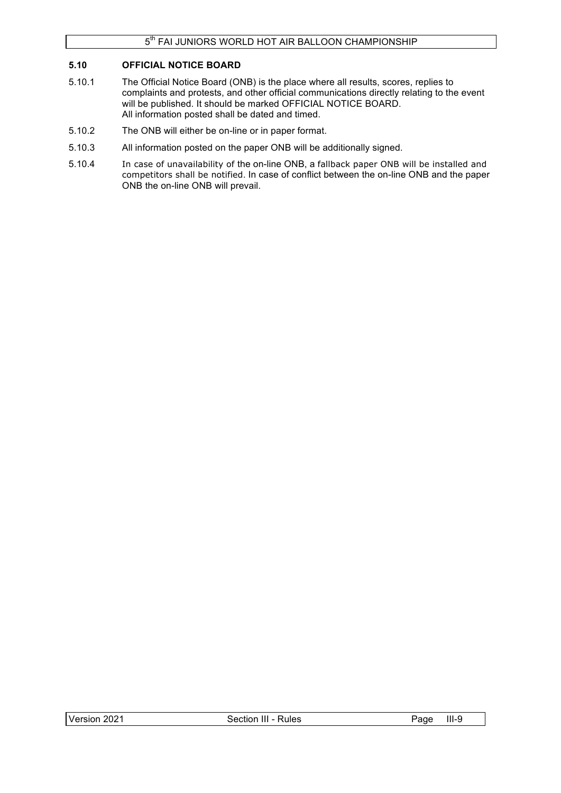## **5.10 OFFICIAL NOTICE BOARD**

- 5.10.1 The Official Notice Board (ONB) is the place where all results, scores, replies to complaints and protests, and other official communications directly relating to the event will be published. It should be marked OFFICIAL NOTICE BOARD. All information posted shall be dated and timed.
- 5.10.2 The ONB will either be on-line or in paper format.
- 5.10.3 All information posted on the paper ONB will be additionally signed.
- 5.10.4 In case of unavailability of the on-line ONB, a fallback paper ONB will be installed and competitors shall be notified. In case of conflict between the on-line ONB and the paper ONB the on-line ONB will prevail.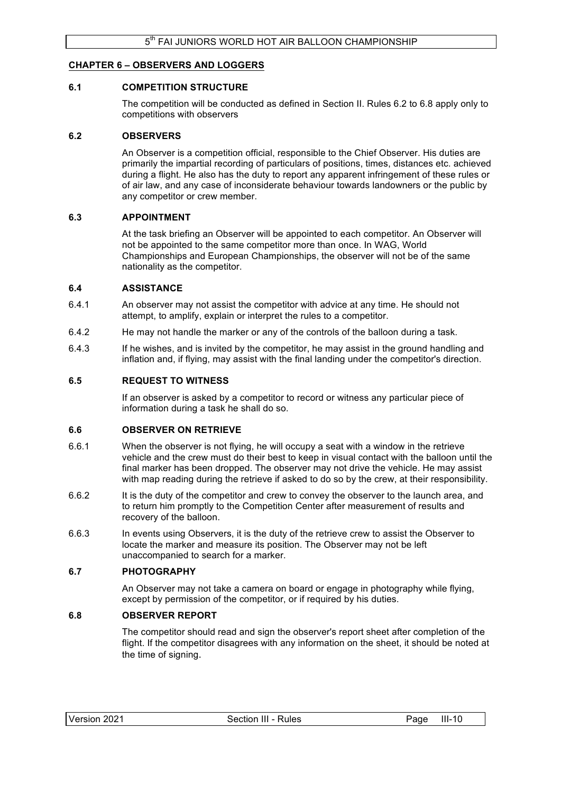### **CHAPTER 6 – OBSERVERS AND LOGGERS**

### **6.1 COMPETITION STRUCTURE**

The competition will be conducted as defined in Section II. Rules 6.2 to 6.8 apply only to competitions with observers

### **6.2 OBSERVERS**

An Observer is a competition official, responsible to the Chief Observer. His duties are primarily the impartial recording of particulars of positions, times, distances etc. achieved during a flight. He also has the duty to report any apparent infringement of these rules or of air law, and any case of inconsiderate behaviour towards landowners or the public by any competitor or crew member.

### **6.3 APPOINTMENT**

At the task briefing an Observer will be appointed to each competitor. An Observer will not be appointed to the same competitor more than once. In WAG, World Championships and European Championships, the observer will not be of the same nationality as the competitor.

### **6.4 ASSISTANCE**

- 6.4.1 An observer may not assist the competitor with advice at any time. He should not attempt, to amplify, explain or interpret the rules to a competitor.
- 6.4.2 He may not handle the marker or any of the controls of the balloon during a task.
- 6.4.3 If he wishes, and is invited by the competitor, he may assist in the ground handling and inflation and, if flying, may assist with the final landing under the competitor's direction.

### **6.5 REQUEST TO WITNESS**

If an observer is asked by a competitor to record or witness any particular piece of information during a task he shall do so.

### **6.6 OBSERVER ON RETRIEVE**

- 6.6.1 When the observer is not flying, he will occupy a seat with a window in the retrieve vehicle and the crew must do their best to keep in visual contact with the balloon until the final marker has been dropped. The observer may not drive the vehicle. He may assist with map reading during the retrieve if asked to do so by the crew, at their responsibility.
- 6.6.2 It is the duty of the competitor and crew to convey the observer to the launch area, and to return him promptly to the Competition Center after measurement of results and recovery of the balloon.
- 6.6.3 In events using Observers, it is the duty of the retrieve crew to assist the Observer to locate the marker and measure its position. The Observer may not be left unaccompanied to search for a marker.

### **6.7 PHOTOGRAPHY**

An Observer may not take a camera on board or engage in photography while flying, except by permission of the competitor, or if required by his duties.

### **6.8 OBSERVER REPORT**

The competitor should read and sign the observer's report sheet after completion of the flight. If the competitor disagrees with any information on the sheet, it should be noted at the time of signing.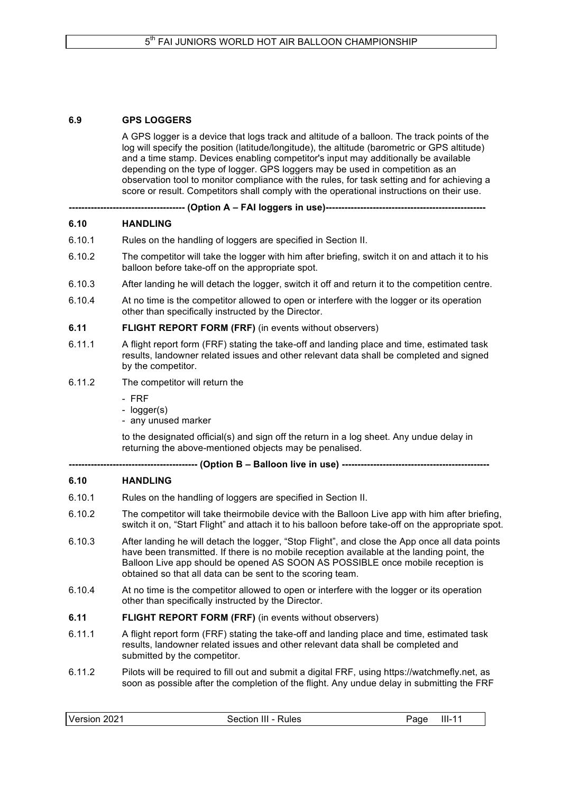## **6.9 GPS LOGGERS**

A GPS logger is a device that logs track and altitude of a balloon. The track points of the log will specify the position (latitude/longitude), the altitude (barometric or GPS altitude) and a time stamp. Devices enabling competitor's input may additionally be available depending on the type of logger. GPS loggers may be used in competition as an observation tool to monitor compliance with the rules, for task setting and for achieving a score or result. Competitors shall comply with the operational instructions on their use.

**------------------------------------- (Option A – FAI loggers in use)---------------------------------------------------**

### **6.10 HANDLING**

- 6.10.1 Rules on the handling of loggers are specified in Section II.
- 6.10.2 The competitor will take the logger with him after briefing, switch it on and attach it to his balloon before take-off on the appropriate spot.
- 6.10.3 After landing he will detach the logger, switch it off and return it to the competition centre.
- 6.10.4 At no time is the competitor allowed to open or interfere with the logger or its operation other than specifically instructed by the Director.
- **6.11 FLIGHT REPORT FORM (FRF)** (in events without observers)
- 6.11.1 A flight report form (FRF) stating the take-off and landing place and time, estimated task results, landowner related issues and other relevant data shall be completed and signed by the competitor.
- 6.11.2 The competitor will return the
	- FRF
	- logger(s)
	- any unused marker

to the designated official(s) and sign off the return in a log sheet. Any undue delay in returning the above-mentioned objects may be penalised.

**----------------------------------------- (Option B – Balloon live in use) -----------------------------------------------**

### **6.10 HANDLING**

- 6.10.1 Rules on the handling of loggers are specified in Section II.
- 6.10.2 The competitor will take theirmobile device with the Balloon Live app with him after briefing, switch it on, "Start Flight" and attach it to his balloon before take-off on the appropriate spot.
- 6.10.3 After landing he will detach the logger, "Stop Flight", and close the App once all data points have been transmitted. If there is no mobile reception available at the landing point, the Balloon Live app should be opened AS SOON AS POSSIBLE once mobile reception is obtained so that all data can be sent to the scoring team.
- 6.10.4 At no time is the competitor allowed to open or interfere with the logger or its operation other than specifically instructed by the Director.
- **6.11 FLIGHT REPORT FORM (FRF)** (in events without observers)
- 6.11.1 A flight report form (FRF) stating the take-off and landing place and time, estimated task results, landowner related issues and other relevant data shall be completed and submitted by the competitor.
- 6.11.2 Pilots will be required to fill out and submit a digital FRF, using https://watchmefly.net, as soon as possible after the completion of the flight. Any undue delay in submitting the FRF

| Version 2021 | Section III - Rules | $III-11$<br>Page |
|--------------|---------------------|------------------|
|--------------|---------------------|------------------|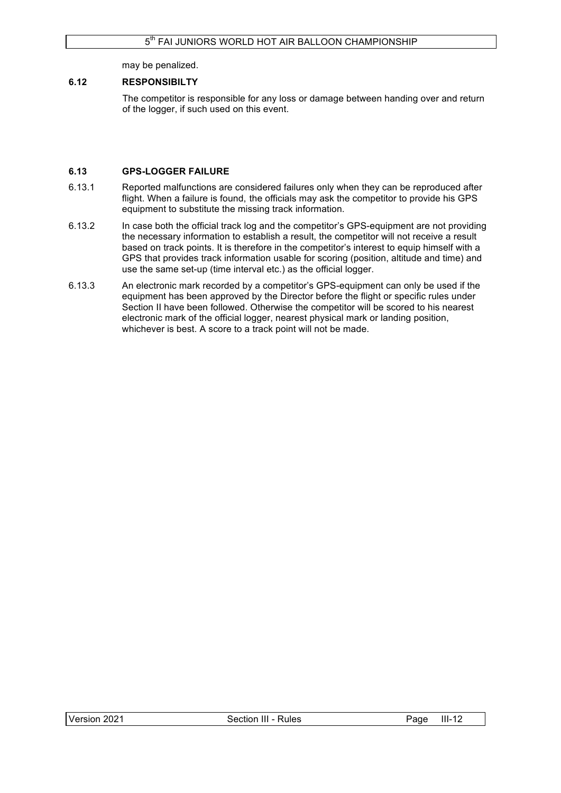may be penalized.

## **6.12 RESPONSIBILTY**

The competitor is responsible for any loss or damage between handing over and return of the logger, if such used on this event.

## **6.13 GPS-LOGGER FAILURE**

- 6.13.1 Reported malfunctions are considered failures only when they can be reproduced after flight. When a failure is found, the officials may ask the competitor to provide his GPS equipment to substitute the missing track information.
- 6.13.2 In case both the official track log and the competitor's GPS-equipment are not providing the necessary information to establish a result, the competitor will not receive a result based on track points. It is therefore in the competitor's interest to equip himself with a GPS that provides track information usable for scoring (position, altitude and time) and use the same set-up (time interval etc.) as the official logger.
- 6.13.3 An electronic mark recorded by a competitor's GPS-equipment can only be used if the equipment has been approved by the Director before the flight or specific rules under Section II have been followed. Otherwise the competitor will be scored to his nearest electronic mark of the official logger, nearest physical mark or landing position, whichever is best. A score to a track point will not be made.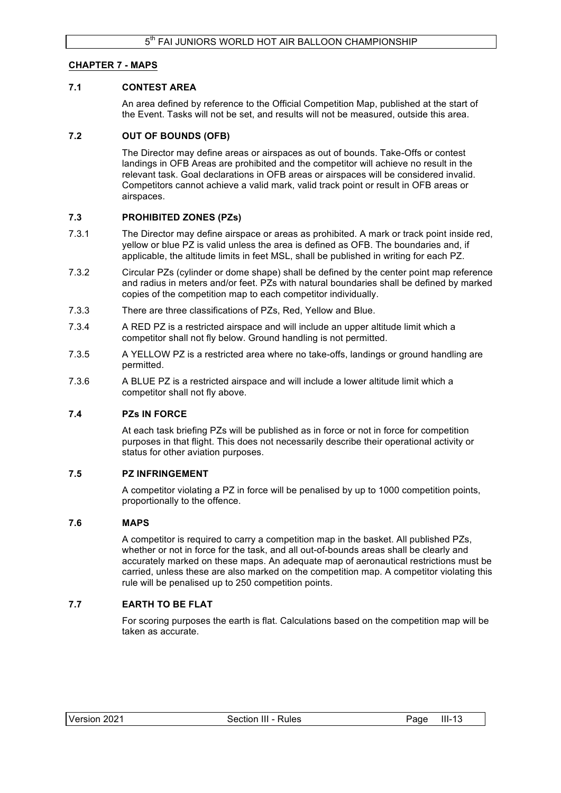## **CHAPTER 7 - MAPS**

## **7.1 CONTEST AREA**

An area defined by reference to the Official Competition Map, published at the start of the Event. Tasks will not be set, and results will not be measured, outside this area.

### **7.2 OUT OF BOUNDS (OFB)**

The Director may define areas or airspaces as out of bounds. Take-Offs or contest landings in OFB Areas are prohibited and the competitor will achieve no result in the relevant task. Goal declarations in OFB areas or airspaces will be considered invalid. Competitors cannot achieve a valid mark, valid track point or result in OFB areas or airspaces.

### **7.3 PROHIBITED ZONES (PZs)**

- 7.3.1 The Director may define airspace or areas as prohibited. A mark or track point inside red, yellow or blue PZ is valid unless the area is defined as OFB. The boundaries and, if applicable, the altitude limits in feet MSL, shall be published in writing for each PZ.
- 7.3.2 Circular PZs (cylinder or dome shape) shall be defined by the center point map reference and radius in meters and/or feet. PZs with natural boundaries shall be defined by marked copies of the competition map to each competitor individually.
- 7.3.3 There are three classifications of PZs, Red, Yellow and Blue.
- 7.3.4 A RED PZ is a restricted airspace and will include an upper altitude limit which a competitor shall not fly below. Ground handling is not permitted.
- 7.3.5 A YELLOW PZ is a restricted area where no take-offs, landings or ground handling are permitted.
- 7.3.6 A BLUE PZ is a restricted airspace and will include a lower altitude limit which a competitor shall not fly above.

#### **7.4 PZs IN FORCE**

At each task briefing PZs will be published as in force or not in force for competition purposes in that flight. This does not necessarily describe their operational activity or status for other aviation purposes.

### **7.5 PZ INFRINGEMENT**

A competitor violating a PZ in force will be penalised by up to 1000 competition points, proportionally to the offence.

### **7.6 MAPS**

A competitor is required to carry a competition map in the basket. All published PZs, whether or not in force for the task, and all out-of-bounds areas shall be clearly and accurately marked on these maps. An adequate map of aeronautical restrictions must be carried, unless these are also marked on the competition map. A competitor violating this rule will be penalised up to 250 competition points.

### **7.7 EARTH TO BE FLAT**

For scoring purposes the earth is flat. Calculations based on the competition map will be taken as accurate.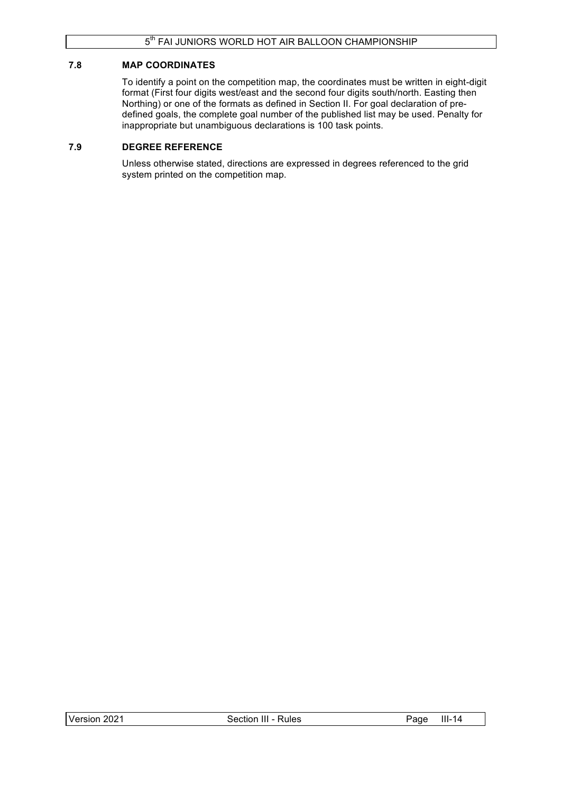### **7.8 MAP COORDINATES**

To identify a point on the competition map, the coordinates must be written in eight-digit format (First four digits west/east and the second four digits south/north. Easting then Northing) or one of the formats as defined in Section II. For goal declaration of predefined goals, the complete goal number of the published list may be used. Penalty for inappropriate but unambiguous declarations is 100 task points.

## **7.9 DEGREE REFERENCE**

Unless otherwise stated, directions are expressed in degrees referenced to the grid system printed on the competition map.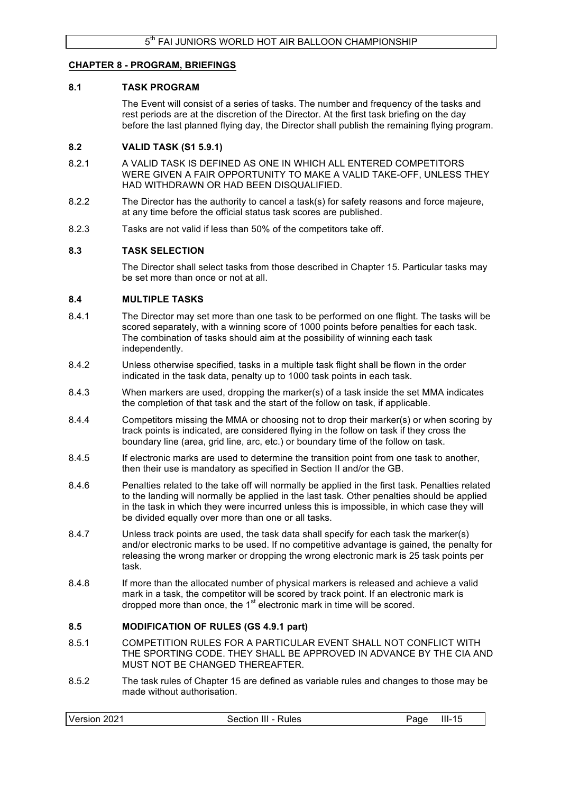### **CHAPTER 8 - PROGRAM, BRIEFINGS**

#### **8.1 TASK PROGRAM**

The Event will consist of a series of tasks. The number and frequency of the tasks and rest periods are at the discretion of the Director. At the first task briefing on the day before the last planned flying day, the Director shall publish the remaining flying program.

#### **8.2 VALID TASK (S1 5.9.1)**

- 8.2.1 A VALID TASK IS DEFINED AS ONE IN WHICH ALL ENTERED COMPETITORS WERE GIVEN A FAIR OPPORTUNITY TO MAKE A VALID TAKE-OFF, UNLESS THEY HAD WITHDRAWN OR HAD BEEN DISQUALIFIED.
- 8.2.2 The Director has the authority to cancel a task(s) for safety reasons and force majeure, at any time before the official status task scores are published.
- 8.2.3 Tasks are not valid if less than 50% of the competitors take off.

### **8.3 TASK SELECTION**

The Director shall select tasks from those described in Chapter 15. Particular tasks may be set more than once or not at all.

#### **8.4 MULTIPLE TASKS**

- 8.4.1 The Director may set more than one task to be performed on one flight. The tasks will be scored separately, with a winning score of 1000 points before penalties for each task. The combination of tasks should aim at the possibility of winning each task independently.
- 8.4.2 Unless otherwise specified, tasks in a multiple task flight shall be flown in the order indicated in the task data, penalty up to 1000 task points in each task.
- 8.4.3 When markers are used, dropping the marker(s) of a task inside the set MMA indicates the completion of that task and the start of the follow on task, if applicable.
- 8.4.4 Competitors missing the MMA or choosing not to drop their marker(s) or when scoring by track points is indicated, are considered flying in the follow on task if they cross the boundary line (area, grid line, arc, etc.) or boundary time of the follow on task.
- 8.4.5 If electronic marks are used to determine the transition point from one task to another, then their use is mandatory as specified in Section II and/or the GB.
- 8.4.6 Penalties related to the take off will normally be applied in the first task. Penalties related to the landing will normally be applied in the last task. Other penalties should be applied in the task in which they were incurred unless this is impossible, in which case they will be divided equally over more than one or all tasks.
- 8.4.7 Unless track points are used, the task data shall specify for each task the marker(s) and/or electronic marks to be used. If no competitive advantage is gained, the penalty for releasing the wrong marker or dropping the wrong electronic mark is 25 task points per task.
- 8.4.8 If more than the allocated number of physical markers is released and achieve a valid mark in a task, the competitor will be scored by track point. If an electronic mark is dropped more than once, the 1<sup>st</sup> electronic mark in time will be scored.

#### **8.5 MODIFICATION OF RULES (GS 4.9.1 part)**

- 8.5.1 COMPETITION RULES FOR A PARTICULAR EVENT SHALL NOT CONFLICT WITH THE SPORTING CODE. THEY SHALL BE APPROVED IN ADVANCE BY THE CIA AND MUST NOT BE CHANGED THEREAFTER.
- 8.5.2 The task rules of Chapter 15 are defined as variable rules and changes to those may be made without authorisation.

| Version 2021<br>$III-15$<br>Section III - Rules<br>Page |
|---------------------------------------------------------|
|---------------------------------------------------------|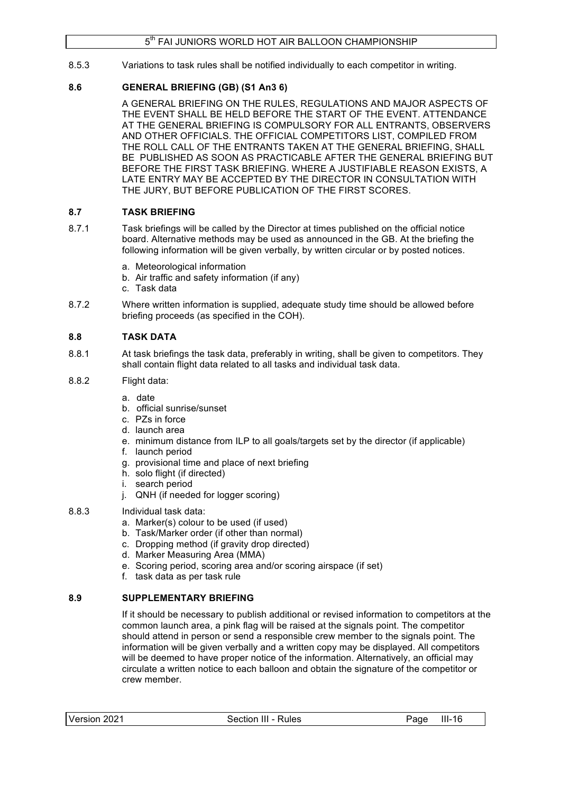8.5.3 Variations to task rules shall be notified individually to each competitor in writing.

## **8.6 GENERAL BRIEFING (GB) (S1 An3 6)**

A GENERAL BRIEFING ON THE RULES, REGULATIONS AND MAJOR ASPECTS OF THE EVENT SHALL BE HELD BEFORE THE START OF THE EVENT. ATTENDANCE AT THE GENERAL BRIEFING IS COMPULSORY FOR ALL ENTRANTS, OBSERVERS AND OTHER OFFICIALS. THE OFFICIAL COMPETITORS LIST, COMPILED FROM THE ROLL CALL OF THE ENTRANTS TAKEN AT THE GENERAL BRIEFING, SHALL BE PUBLISHED AS SOON AS PRACTICABLE AFTER THE GENERAL BRIEFING BUT BEFORE THE FIRST TASK BRIEFING. WHERE A JUSTIFIABLE REASON EXISTS, A LATE ENTRY MAY BE ACCEPTED BY THE DIRECTOR IN CONSULTATION WITH THE JURY, BUT BEFORE PUBLICATION OF THE FIRST SCORES.

## **8.7 TASK BRIEFING**

- 8.7.1 Task briefings will be called by the Director at times published on the official notice board. Alternative methods may be used as announced in the GB. At the briefing the following information will be given verbally, by written circular or by posted notices.
	- a. Meteorological information
	- b. Air traffic and safety information (if any)
	- c. Task data
- 8.7.2 Where written information is supplied, adequate study time should be allowed before briefing proceeds (as specified in the COH).

## **8.8 TASK DATA**

- 8.8.1 At task briefings the task data, preferably in writing, shall be given to competitors. They shall contain flight data related to all tasks and individual task data.
- 8.8.2 Flight data:
	- a. date
	- b. official sunrise/sunset
	- c. PZs in force
	- d. launch area
	- e. minimum distance from ILP to all goals/targets set by the director (if applicable)
	- f. launch period
	- g. provisional time and place of next briefing
	- h. solo flight (if directed)
	- i. search period
	- j. QNH (if needed for logger scoring)
- 8.8.3 Individual task data:
	- a. Marker(s) colour to be used (if used)
	- b. Task/Marker order (if other than normal)
	- c. Dropping method (if gravity drop directed)
	- d. Marker Measuring Area (MMA)
	- e. Scoring period, scoring area and/or scoring airspace (if set)
	- f. task data as per task rule

## **8.9 SUPPLEMENTARY BRIEFING**

If it should be necessary to publish additional or revised information to competitors at the common launch area, a pink flag will be raised at the signals point. The competitor should attend in person or send a responsible crew member to the signals point. The information will be given verbally and a written copy may be displayed. All competitors will be deemed to have proper notice of the information. Alternatively, an official may circulate a written notice to each balloon and obtain the signature of the competitor or crew member.

| Version 2021 | Section III - Rules | Page III-16 |  |
|--------------|---------------------|-------------|--|
|--------------|---------------------|-------------|--|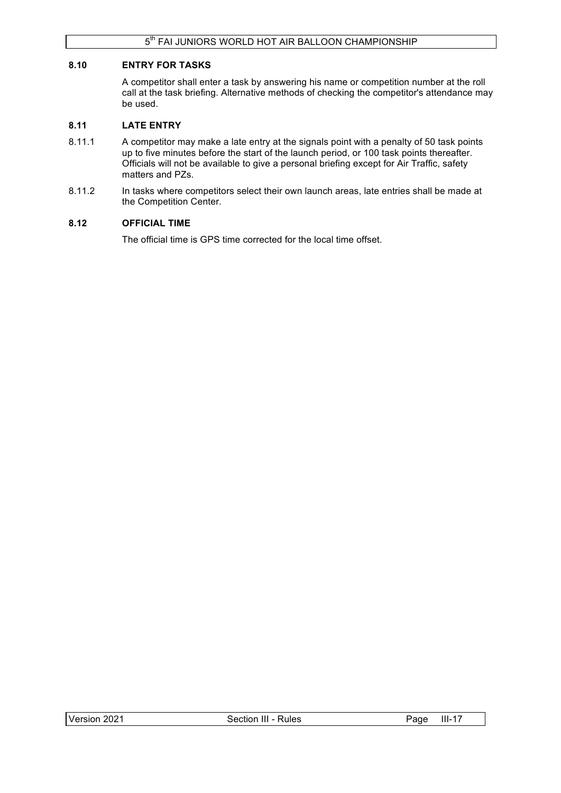### **8.10 ENTRY FOR TASKS**

A competitor shall enter a task by answering his name or competition number at the roll call at the task briefing. Alternative methods of checking the competitor's attendance may be used.

### **8.11 LATE ENTRY**

- 8.11.1 A competitor may make a late entry at the signals point with a penalty of 50 task points up to five minutes before the start of the launch period, or 100 task points thereafter. Officials will not be available to give a personal briefing except for Air Traffic, safety matters and PZs.
- 8.11.2 In tasks where competitors select their own launch areas, late entries shall be made at the Competition Center.

## **8.12 OFFICIAL TIME**

The official time is GPS time corrected for the local time offset.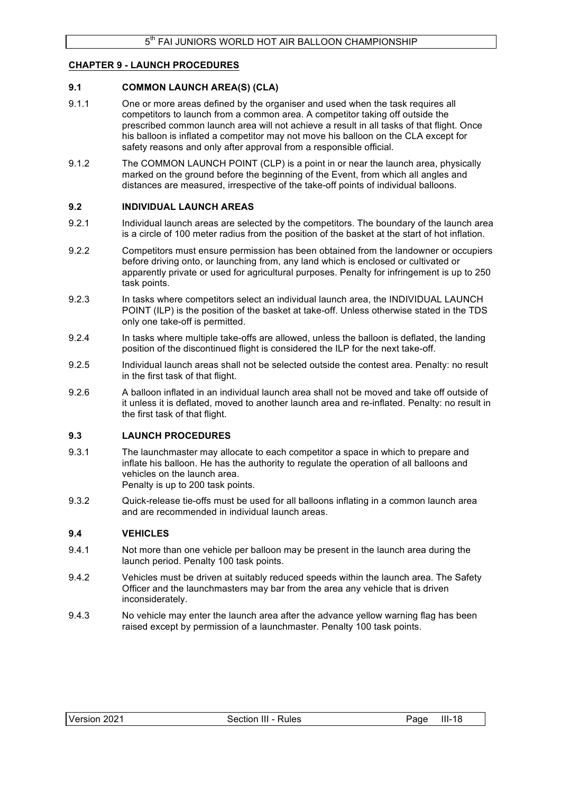## **CHAPTER 9 - LAUNCH PROCEDURES**

### **9.1 COMMON LAUNCH AREA(S) (CLA)**

- 9.1.1 One or more areas defined by the organiser and used when the task requires all competitors to launch from a common area. A competitor taking off outside the prescribed common launch area will not achieve a result in all tasks of that flight. Once his balloon is inflated a competitor may not move his balloon on the CLA except for safety reasons and only after approval from a responsible official.
- 9.1.2 The COMMON LAUNCH POINT (CLP) is a point in or near the launch area, physically marked on the ground before the beginning of the Event, from which all angles and distances are measured, irrespective of the take-off points of individual balloons.

### **9.2 INDIVIDUAL LAUNCH AREAS**

- 9.2.1 Individual launch areas are selected by the competitors. The boundary of the launch area is a circle of 100 meter radius from the position of the basket at the start of hot inflation.
- 9.2.2 Competitors must ensure permission has been obtained from the landowner or occupiers before driving onto, or launching from, any land which is enclosed or cultivated or apparently private or used for agricultural purposes. Penalty for infringement is up to 250 task points.
- 9.2.3 In tasks where competitors select an individual launch area, the INDIVIDUAL LAUNCH POINT (ILP) is the position of the basket at take-off. Unless otherwise stated in the TDS only one take-off is permitted.
- 9.2.4 In tasks where multiple take-offs are allowed, unless the balloon is deflated, the landing position of the discontinued flight is considered the ILP for the next take-off.
- 9.2.5 Individual launch areas shall not be selected outside the contest area. Penalty: no result in the first task of that flight.
- 9.2.6 A balloon inflated in an individual launch area shall not be moved and take off outside of it unless it is deflated, moved to another launch area and re-inflated. Penalty: no result in the first task of that flight.

### **9.3 LAUNCH PROCEDURES**

- 9.3.1 The launchmaster may allocate to each competitor a space in which to prepare and inflate his balloon. He has the authority to regulate the operation of all balloons and vehicles on the launch area. Penalty is up to 200 task points.
- 9.3.2 Quick-release tie-offs must be used for all balloons inflating in a common launch area and are recommended in individual launch areas.

## **9.4 VEHICLES**

- 9.4.1 Not more than one vehicle per balloon may be present in the launch area during the launch period. Penalty 100 task points.
- 9.4.2 Vehicles must be driven at suitably reduced speeds within the launch area. The Safety Officer and the launchmasters may bar from the area any vehicle that is driven inconsiderately.
- 9.4.3 No vehicle may enter the launch area after the advance yellow warning flag has been raised except by permission of a launchmaster. Penalty 100 task points.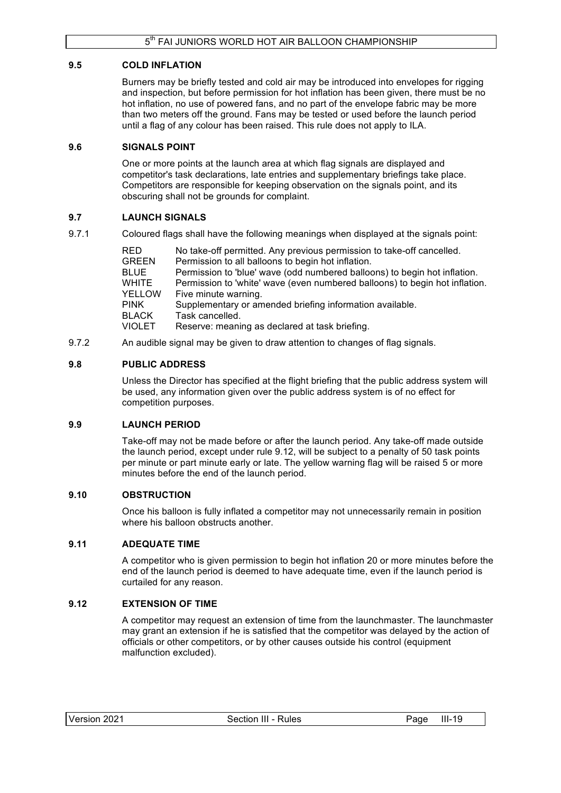## **9.5 COLD INFLATION**

Burners may be briefly tested and cold air may be introduced into envelopes for rigging and inspection, but before permission for hot inflation has been given, there must be no hot inflation, no use of powered fans, and no part of the envelope fabric may be more than two meters off the ground. Fans may be tested or used before the launch period until a flag of any colour has been raised. This rule does not apply to ILA.

## **9.6 SIGNALS POINT**

One or more points at the launch area at which flag signals are displayed and competitor's task declarations, late entries and supplementary briefings take place. Competitors are responsible for keeping observation on the signals point, and its obscuring shall not be grounds for complaint.

## **9.7 LAUNCH SIGNALS**

9.7.1 Coloured flags shall have the following meanings when displayed at the signals point:

RED No take-off permitted. Any previous permission to take-off cancelled. GREEN Permission to all balloons to begin hot inflation. BLUE Permission to 'blue' wave (odd numbered balloons) to begin hot inflation. WHITE Permission to 'white' wave (even numbered balloons) to begin hot inflation. YELLOW Five minute warning. PINK Supplementary or amended briefing information available. BLACK Task cancelled.<br>VIOLET Reserve: meani Reserve: meaning as declared at task briefing.

9.7.2 An audible signal may be given to draw attention to changes of flag signals.

## **9.8 PUBLIC ADDRESS**

Unless the Director has specified at the flight briefing that the public address system will be used, any information given over the public address system is of no effect for competition purposes.

### **9.9 LAUNCH PERIOD**

Take-off may not be made before or after the launch period. Any take-off made outside the launch period, except under rule 9.12, will be subject to a penalty of 50 task points per minute or part minute early or late. The yellow warning flag will be raised 5 or more minutes before the end of the launch period.

### **9.10 OBSTRUCTION**

Once his balloon is fully inflated a competitor may not unnecessarily remain in position where his balloon obstructs another

### **9.11 ADEQUATE TIME**

A competitor who is given permission to begin hot inflation 20 or more minutes before the end of the launch period is deemed to have adequate time, even if the launch period is curtailed for any reason.

## **9.12 EXTENSION OF TIME**

A competitor may request an extension of time from the launchmaster. The launchmaster may grant an extension if he is satisfied that the competitor was delayed by the action of officials or other competitors, or by other causes outside his control (equipment malfunction excluded).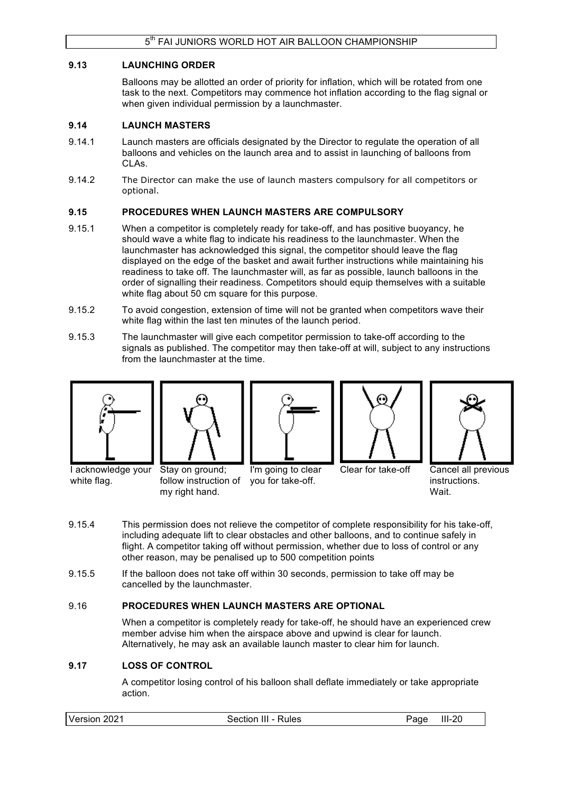### **9.13 LAUNCHING ORDER**

Balloons may be allotted an order of priority for inflation, which will be rotated from one task to the next. Competitors may commence hot inflation according to the flag signal or when given individual permission by a launchmaster.

### **9.14 LAUNCH MASTERS**

- 9.14.1 Launch masters are officials designated by the Director to regulate the operation of all balloons and vehicles on the launch area and to assist in launching of balloons from CLAs.
- 9.14.2 The Director can make the use of launch masters compulsory for all competitors or optional.

## **9.15 PROCEDURES WHEN LAUNCH MASTERS ARE COMPULSORY**

- 9.15.1 When a competitor is completely ready for take-off, and has positive buoyancy, he should wave a white flag to indicate his readiness to the launchmaster. When the launchmaster has acknowledged this signal, the competitor should leave the flag displayed on the edge of the basket and await further instructions while maintaining his readiness to take off. The launchmaster will, as far as possible, launch balloons in the order of signalling their readiness. Competitors should equip themselves with a suitable white flag about 50 cm square for this purpose.
- 9.15.2 To avoid congestion, extension of time will not be granted when competitors wave their white flag within the last ten minutes of the launch period.
- 9.15.3 The launchmaster will give each competitor permission to take-off according to the signals as published. The competitor may then take-off at will, subject to any instructions from the launchmaster at the time.











Clear for take-off Cancel all previous instructions. **Wait** 

I acknowledge your Stay on ground; white flag.

follow instruction of you for take-off. my right hand.

I'm going to clear

9.15.4 This permission does not relieve the competitor of complete responsibility for his take-off,

- including adequate lift to clear obstacles and other balloons, and to continue safely in flight. A competitor taking off without permission, whether due to loss of control or any other reason, may be penalised up to 500 competition points
- 9.15.5 If the balloon does not take off within 30 seconds, permission to take off may be cancelled by the launchmaster.

### 9.16 **PROCEDURES WHEN LAUNCH MASTERS ARE OPTIONAL**

When a competitor is completely ready for take-off, he should have an experienced crew member advise him when the airspace above and upwind is clear for launch. Alternatively, he may ask an available launch master to clear him for launch.

### **9.17 LOSS OF CONTROL**

A competitor losing control of his balloon shall deflate immediately or take appropriate action.

| Version<br>2021 | Section III - Rules | 'aɑe | $III-20$ |
|-----------------|---------------------|------|----------|
|                 |                     |      |          |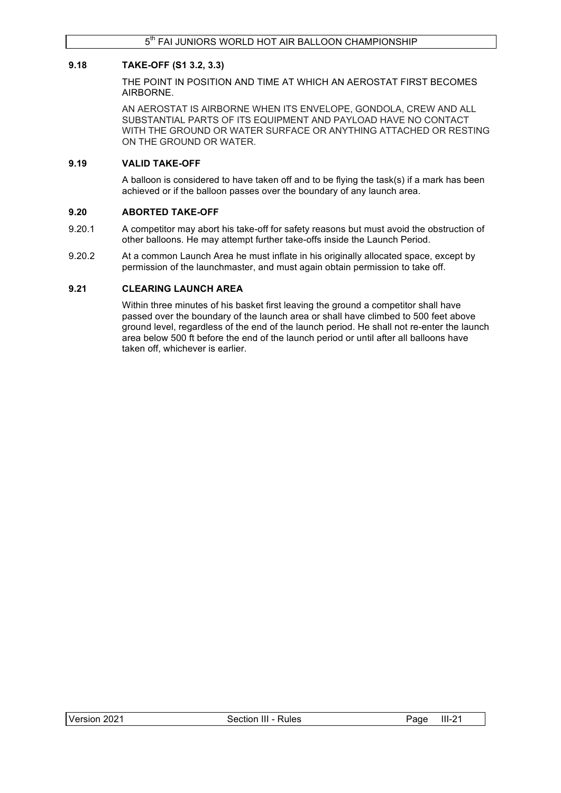## **9.18 TAKE-OFF (S1 3.2, 3.3)**

THE POINT IN POSITION AND TIME AT WHICH AN AEROSTAT FIRST BECOMES AIRBORNE.

AN AEROSTAT IS AIRBORNE WHEN ITS ENVELOPE, GONDOLA, CREW AND ALL SUBSTANTIAL PARTS OF ITS EQUIPMENT AND PAYLOAD HAVE NO CONTACT WITH THE GROUND OR WATER SURFACE OR ANYTHING ATTACHED OR RESTING ON THE GROUND OR WATER.

### **9.19 VALID TAKE-OFF**

A balloon is considered to have taken off and to be flying the task(s) if a mark has been achieved or if the balloon passes over the boundary of any launch area.

## **9.20 ABORTED TAKE-OFF**

- 9.20.1 A competitor may abort his take-off for safety reasons but must avoid the obstruction of other balloons. He may attempt further take-offs inside the Launch Period.
- 9.20.2 At a common Launch Area he must inflate in his originally allocated space, except by permission of the launchmaster, and must again obtain permission to take off.

## **9.21 CLEARING LAUNCH AREA**

Within three minutes of his basket first leaving the ground a competitor shall have passed over the boundary of the launch area or shall have climbed to 500 feet above ground level, regardless of the end of the launch period. He shall not re-enter the launch area below 500 ft before the end of the launch period or until after all balloons have taken off, whichever is earlier.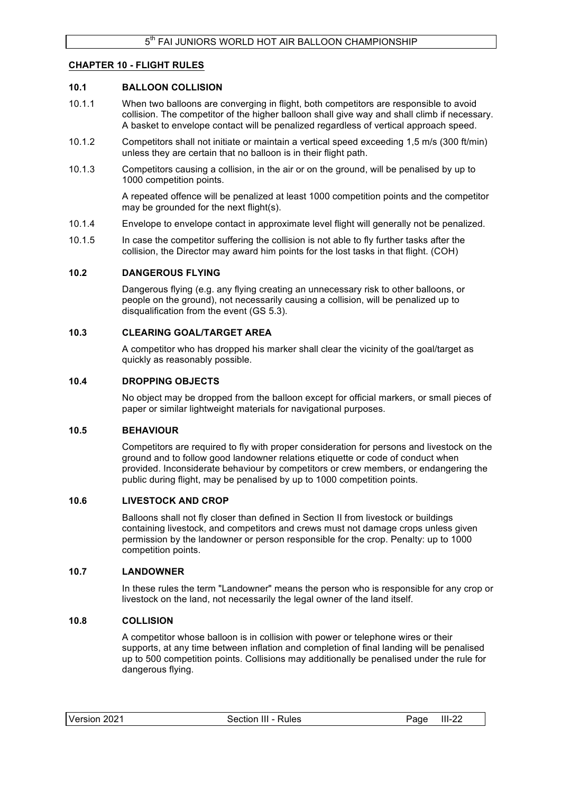### **CHAPTER 10 - FLIGHT RULES**

### **10.1 BALLOON COLLISION**

- 10.1.1 When two balloons are converging in flight, both competitors are responsible to avoid collision. The competitor of the higher balloon shall give way and shall climb if necessary. A basket to envelope contact will be penalized regardless of vertical approach speed.
- 10.1.2 Competitors shall not initiate or maintain a vertical speed exceeding 1,5 m/s (300 ft/min) unless they are certain that no balloon is in their flight path.
- 10.1.3 Competitors causing a collision, in the air or on the ground, will be penalised by up to 1000 competition points.

A repeated offence will be penalized at least 1000 competition points and the competitor may be grounded for the next flight(s).

- 10.1.4 Envelope to envelope contact in approximate level flight will generally not be penalized.
- 10.1.5 In case the competitor suffering the collision is not able to fly further tasks after the collision, the Director may award him points for the lost tasks in that flight. (COH)

### **10.2 DANGEROUS FLYING**

Dangerous flying (e.g. any flying creating an unnecessary risk to other balloons, or people on the ground), not necessarily causing a collision, will be penalized up to disqualification from the event (GS 5.3).

### **10.3 CLEARING GOAL/TARGET AREA**

A competitor who has dropped his marker shall clear the vicinity of the goal/target as quickly as reasonably possible.

### **10.4 DROPPING OBJECTS**

No object may be dropped from the balloon except for official markers, or small pieces of paper or similar lightweight materials for navigational purposes.

### **10.5 BEHAVIOUR**

Competitors are required to fly with proper consideration for persons and livestock on the ground and to follow good landowner relations etiquette or code of conduct when provided. Inconsiderate behaviour by competitors or crew members, or endangering the public during flight, may be penalised by up to 1000 competition points.

### **10.6 LIVESTOCK AND CROP**

Balloons shall not fly closer than defined in Section II from livestock or buildings containing livestock, and competitors and crews must not damage crops unless given permission by the landowner or person responsible for the crop. Penalty: up to 1000 competition points.

### **10.7 LANDOWNER**

In these rules the term "Landowner" means the person who is responsible for any crop or livestock on the land, not necessarily the legal owner of the land itself.

#### **10.8 COLLISION**

A competitor whose balloon is in collision with power or telephone wires or their supports, at any time between inflation and completion of final landing will be penalised up to 500 competition points. Collisions may additionally be penalised under the rule for dangerous flying.

| Version 2021 |  |
|--------------|--|
|--------------|--|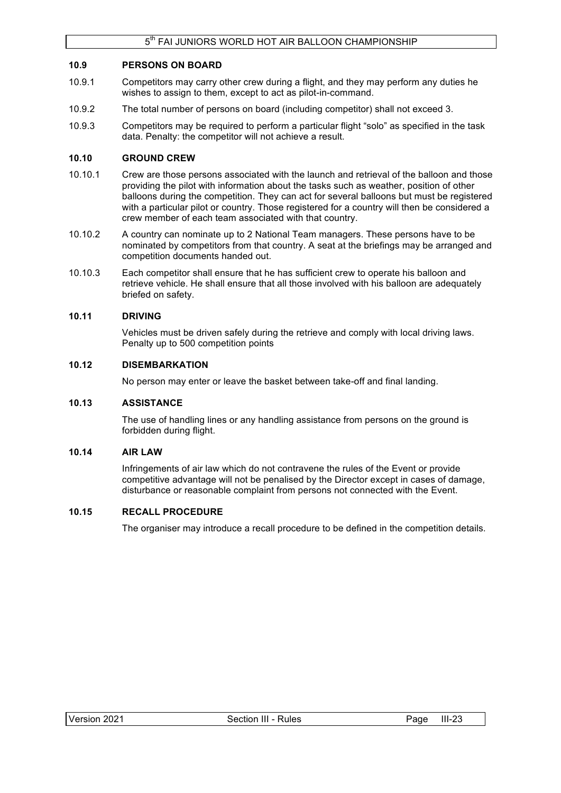## **10.9 PERSONS ON BOARD**

- 10.9.1 Competitors may carry other crew during a flight, and they may perform any duties he wishes to assign to them, except to act as pilot-in-command.
- 10.9.2 The total number of persons on board (including competitor) shall not exceed 3.
- 10.9.3 Competitors may be required to perform a particular flight "solo" as specified in the task data. Penalty: the competitor will not achieve a result.

## **10.10 GROUND CREW**

- 10.10.1 Crew are those persons associated with the launch and retrieval of the balloon and those providing the pilot with information about the tasks such as weather, position of other balloons during the competition. They can act for several balloons but must be registered with a particular pilot or country. Those registered for a country will then be considered a crew member of each team associated with that country.
- 10.10.2 A country can nominate up to 2 National Team managers. These persons have to be nominated by competitors from that country. A seat at the briefings may be arranged and competition documents handed out.
- 10.10.3 Each competitor shall ensure that he has sufficient crew to operate his balloon and retrieve vehicle. He shall ensure that all those involved with his balloon are adequately briefed on safety.

### **10.11 DRIVING**

Vehicles must be driven safely during the retrieve and comply with local driving laws. Penalty up to 500 competition points

### **10.12 DISEMBARKATION**

No person may enter or leave the basket between take-off and final landing.

### **10.13 ASSISTANCE**

The use of handling lines or any handling assistance from persons on the ground is forbidden during flight.

### **10.14 AIR LAW**

Infringements of air law which do not contravene the rules of the Event or provide competitive advantage will not be penalised by the Director except in cases of damage, disturbance or reasonable complaint from persons not connected with the Event.

### **10.15 RECALL PROCEDURE**

The organiser may introduce a recall procedure to be defined in the competition details.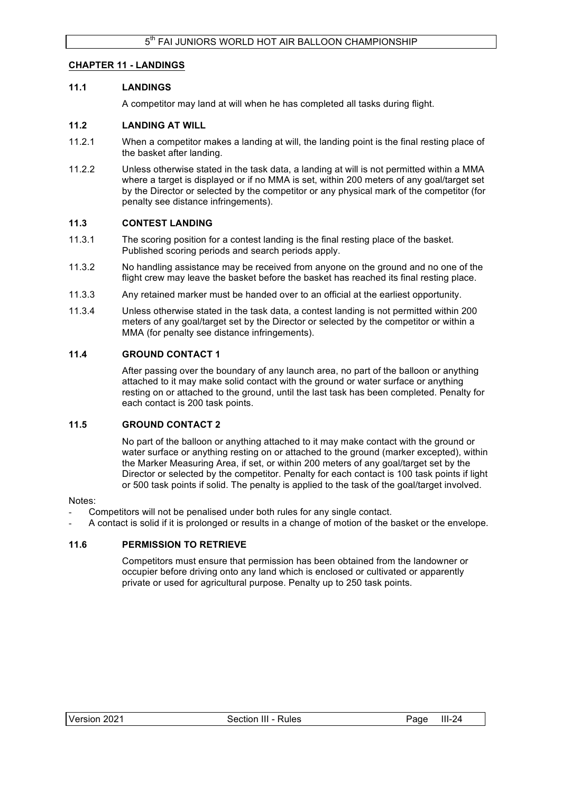## **CHAPTER 11 - LANDINGS**

### **11.1 LANDINGS**

A competitor may land at will when he has completed all tasks during flight.

## **11.2 LANDING AT WILL**

- 11.2.1 When a competitor makes a landing at will, the landing point is the final resting place of the basket after landing.
- 11.2.2 Unless otherwise stated in the task data, a landing at will is not permitted within a MMA where a target is displayed or if no MMA is set, within 200 meters of any goal/target set by the Director or selected by the competitor or any physical mark of the competitor (for penalty see distance infringements).

## **11.3 CONTEST LANDING**

- 11.3.1 The scoring position for a contest landing is the final resting place of the basket. Published scoring periods and search periods apply.
- 11.3.2 No handling assistance may be received from anyone on the ground and no one of the flight crew may leave the basket before the basket has reached its final resting place.
- 11.3.3 Any retained marker must be handed over to an official at the earliest opportunity.
- 11.3.4 Unless otherwise stated in the task data, a contest landing is not permitted within 200 meters of any goal/target set by the Director or selected by the competitor or within a MMA (for penalty see distance infringements).

## **11.4 GROUND CONTACT 1**

After passing over the boundary of any launch area, no part of the balloon or anything attached to it may make solid contact with the ground or water surface or anything resting on or attached to the ground, until the last task has been completed. Penalty for each contact is 200 task points.

### **11.5 GROUND CONTACT 2**

No part of the balloon or anything attached to it may make contact with the ground or water surface or anything resting on or attached to the ground (marker excepted), within the Marker Measuring Area, if set, or within 200 meters of any goal/target set by the Director or selected by the competitor. Penalty for each contact is 100 task points if light or 500 task points if solid. The penalty is applied to the task of the goal/target involved.

### Notes:

- Competitors will not be penalised under both rules for any single contact.
- A contact is solid if it is prolonged or results in a change of motion of the basket or the envelope.

## **11.6 PERMISSION TO RETRIEVE**

Competitors must ensure that permission has been obtained from the landowner or occupier before driving onto any land which is enclosed or cultivated or apparently private or used for agricultural purpose. Penalty up to 250 task points.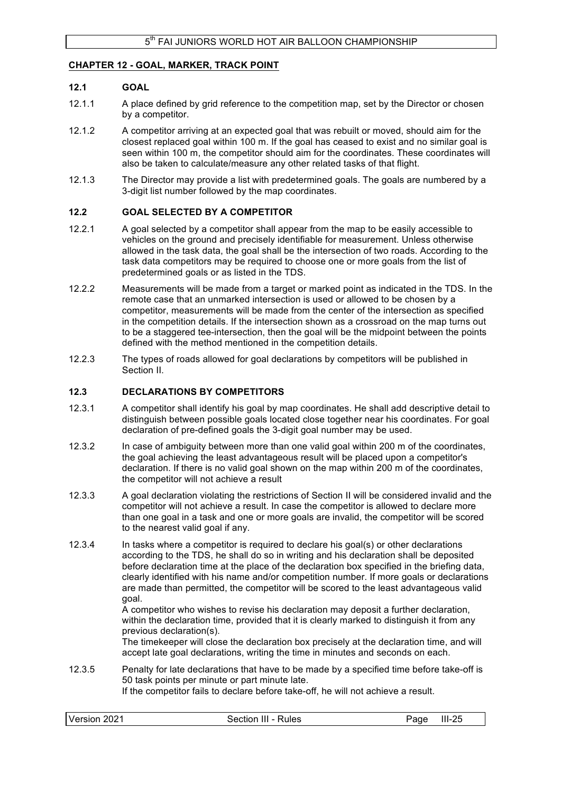### **CHAPTER 12 - GOAL, MARKER, TRACK POINT**

### **12.1 GOAL**

- 12.1.1 A place defined by grid reference to the competition map, set by the Director or chosen by a competitor.
- 12.1.2 A competitor arriving at an expected goal that was rebuilt or moved, should aim for the closest replaced goal within 100 m. If the goal has ceased to exist and no similar goal is seen within 100 m, the competitor should aim for the coordinates. These coordinates will also be taken to calculate/measure any other related tasks of that flight.
- 12.1.3 The Director may provide a list with predetermined goals. The goals are numbered by a 3-digit list number followed by the map coordinates.

### **12.2 GOAL SELECTED BY A COMPETITOR**

- 12.2.1 A goal selected by a competitor shall appear from the map to be easily accessible to vehicles on the ground and precisely identifiable for measurement. Unless otherwise allowed in the task data, the goal shall be the intersection of two roads. According to the task data competitors may be required to choose one or more goals from the list of predetermined goals or as listed in the TDS.
- 12.2.2 Measurements will be made from a target or marked point as indicated in the TDS. In the remote case that an unmarked intersection is used or allowed to be chosen by a competitor, measurements will be made from the center of the intersection as specified in the competition details. If the intersection shown as a crossroad on the map turns out to be a staggered tee-intersection, then the goal will be the midpoint between the points defined with the method mentioned in the competition details.
- 12.2.3 The types of roads allowed for goal declarations by competitors will be published in Section II.

### **12.3 DECLARATIONS BY COMPETITORS**

- 12.3.1 A competitor shall identify his goal by map coordinates. He shall add descriptive detail to distinguish between possible goals located close together near his coordinates. For goal declaration of pre-defined goals the 3-digit goal number may be used.
- 12.3.2 In case of ambiguity between more than one valid goal within 200 m of the coordinates, the goal achieving the least advantageous result will be placed upon a competitor's declaration. If there is no valid goal shown on the map within 200 m of the coordinates, the competitor will not achieve a result
- 12.3.3 A goal declaration violating the restrictions of Section II will be considered invalid and the competitor will not achieve a result. In case the competitor is allowed to declare more than one goal in a task and one or more goals are invalid, the competitor will be scored to the nearest valid goal if any.
- 12.3.4 In tasks where a competitor is required to declare his goal(s) or other declarations according to the TDS, he shall do so in writing and his declaration shall be deposited before declaration time at the place of the declaration box specified in the briefing data, clearly identified with his name and/or competition number. If more goals or declarations are made than permitted, the competitor will be scored to the least advantageous valid goal.

A competitor who wishes to revise his declaration may deposit a further declaration, within the declaration time, provided that it is clearly marked to distinguish it from any previous declaration(s).

The timekeeper will close the declaration box precisely at the declaration time, and will accept late goal declarations, writing the time in minutes and seconds on each.

12.3.5 Penalty for late declarations that have to be made by a specified time before take-off is 50 task points per minute or part minute late. If the competitor fails to declare before take-off, he will not achieve a result.

| Version 2021 | Section III - Rules | Page | $III-25$ |
|--------------|---------------------|------|----------|
|              |                     |      |          |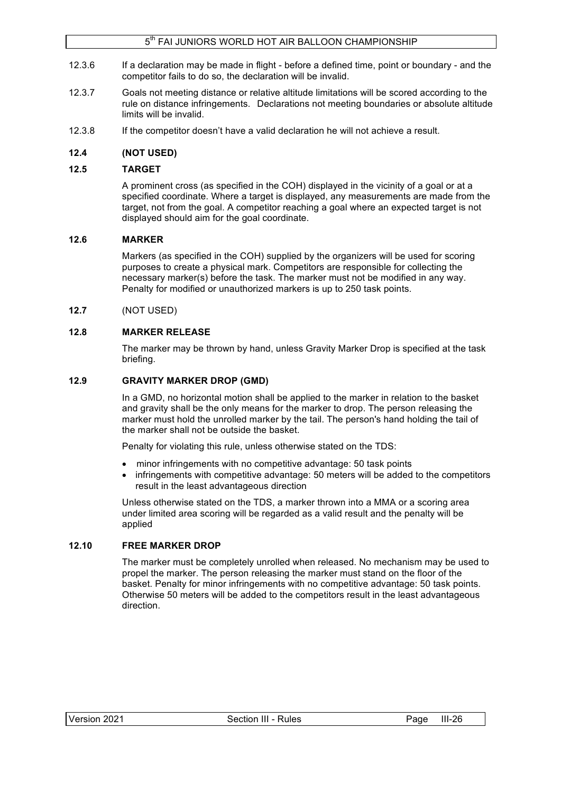## 5<sup>th</sup> FAI JUNIORS WORLD HOT AIR BALLOON CHAMPIONSHIP

- 12.3.6 If a declaration may be made in flight before a defined time, point or boundary and the competitor fails to do so, the declaration will be invalid.
- 12.3.7 Goals not meeting distance or relative altitude limitations will be scored according to the rule on distance infringements. Declarations not meeting boundaries or absolute altitude limits will be invalid.
- 12.3.8 If the competitor doesn't have a valid declaration he will not achieve a result.

### **12.4 (NOT USED)**

### **12.5 TARGET**

A prominent cross (as specified in the COH) displayed in the vicinity of a goal or at a specified coordinate. Where a target is displayed, any measurements are made from the target, not from the goal. A competitor reaching a goal where an expected target is not displayed should aim for the goal coordinate.

### **12.6 MARKER**

Markers (as specified in the COH) supplied by the organizers will be used for scoring purposes to create a physical mark. Competitors are responsible for collecting the necessary marker(s) before the task. The marker must not be modified in any way. Penalty for modified or unauthorized markers is up to 250 task points.

**12.7** (NOT USED)

### **12.8 MARKER RELEASE**

The marker may be thrown by hand, unless Gravity Marker Drop is specified at the task briefing.

### **12.9 GRAVITY MARKER DROP (GMD)**

In a GMD, no horizontal motion shall be applied to the marker in relation to the basket and gravity shall be the only means for the marker to drop. The person releasing the marker must hold the unrolled marker by the tail. The person's hand holding the tail of the marker shall not be outside the basket.

Penalty for violating this rule, unless otherwise stated on the TDS:

- minor infringements with no competitive advantage: 50 task points
- infringements with competitive advantage: 50 meters will be added to the competitors result in the least advantageous direction

Unless otherwise stated on the TDS, a marker thrown into a MMA or a scoring area under limited area scoring will be regarded as a valid result and the penalty will be applied

### **12.10 FREE MARKER DROP**

The marker must be completely unrolled when released. No mechanism may be used to propel the marker. The person releasing the marker must stand on the floor of the basket. Penalty for minor infringements with no competitive advantage: 50 task points. Otherwise 50 meters will be added to the competitors result in the least advantageous direction.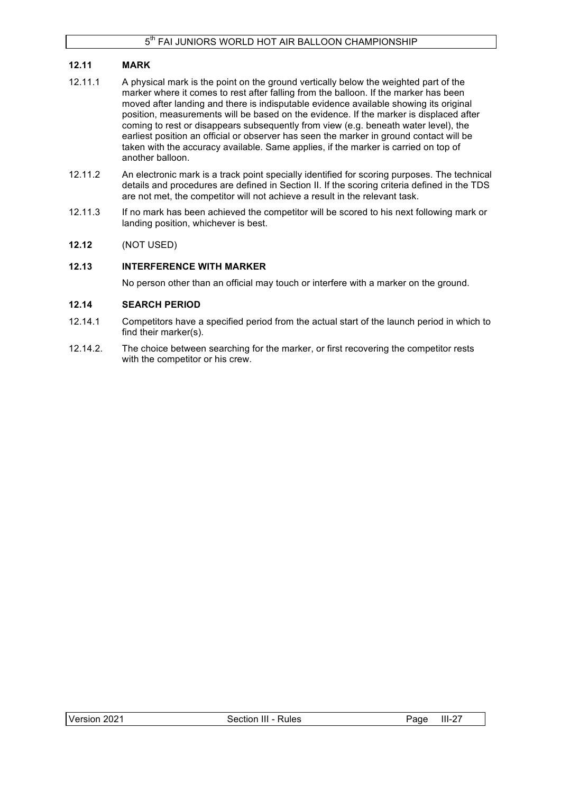## **12.11 MARK**

- 12.11.1 A physical mark is the point on the ground vertically below the weighted part of the marker where it comes to rest after falling from the balloon. If the marker has been moved after landing and there is indisputable evidence available showing its original position, measurements will be based on the evidence. If the marker is displaced after coming to rest or disappears subsequently from view (e.g. beneath water level), the earliest position an official or observer has seen the marker in ground contact will be taken with the accuracy available. Same applies, if the marker is carried on top of another balloon.
- 12.11.2 An electronic mark is a track point specially identified for scoring purposes. The technical details and procedures are defined in Section II. If the scoring criteria defined in the TDS are not met, the competitor will not achieve a result in the relevant task.
- 12.11.3 If no mark has been achieved the competitor will be scored to his next following mark or landing position, whichever is best.

## **12.12** (NOT USED)

## **12.13 INTERFERENCE WITH MARKER**

No person other than an official may touch or interfere with a marker on the ground.

## **12.14 SEARCH PERIOD**

- 12.14.1 Competitors have a specified period from the actual start of the launch period in which to find their marker(s).
- 12.14.2. The choice between searching for the marker, or first recovering the competitor rests with the competitor or his crew.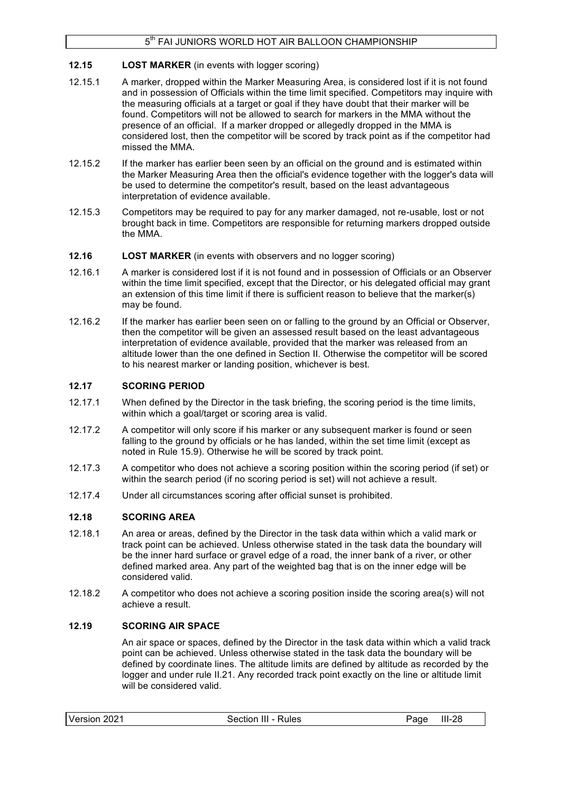## **12.15 LOST MARKER** (in events with logger scoring)

- 12.15.1 A marker, dropped within the Marker Measuring Area, is considered lost if it is not found and in possession of Officials within the time limit specified. Competitors may inquire with the measuring officials at a target or goal if they have doubt that their marker will be found. Competitors will not be allowed to search for markers in the MMA without the presence of an official. If a marker dropped or allegedly dropped in the MMA is considered lost, then the competitor will be scored by track point as if the competitor had missed the MMA.
- 12.15.2 If the marker has earlier been seen by an official on the ground and is estimated within the Marker Measuring Area then the official's evidence together with the logger's data will be used to determine the competitor's result, based on the least advantageous interpretation of evidence available.
- 12.15.3 Competitors may be required to pay for any marker damaged, not re-usable, lost or not brought back in time. Competitors are responsible for returning markers dropped outside the MMA.
- **12.16 LOST MARKER** (in events with observers and no logger scoring)
- 12.16.1 A marker is considered lost if it is not found and in possession of Officials or an Observer within the time limit specified, except that the Director, or his delegated official may grant an extension of this time limit if there is sufficient reason to believe that the marker(s) may be found.
- 12.16.2 If the marker has earlier been seen on or falling to the ground by an Official or Observer, then the competitor will be given an assessed result based on the least advantageous interpretation of evidence available, provided that the marker was released from an altitude lower than the one defined in Section II. Otherwise the competitor will be scored to his nearest marker or landing position, whichever is best.

## **12.17 SCORING PERIOD**

- 12.17.1 When defined by the Director in the task briefing, the scoring period is the time limits, within which a goal/target or scoring area is valid.
- 12.17.2 A competitor will only score if his marker or any subsequent marker is found or seen falling to the ground by officials or he has landed, within the set time limit (except as noted in Rule 15.9). Otherwise he will be scored by track point.
- 12.17.3 A competitor who does not achieve a scoring position within the scoring period (if set) or within the search period (if no scoring period is set) will not achieve a result.
- 12.17.4 Under all circumstances scoring after official sunset is prohibited.

### **12.18 SCORING AREA**

- 12.18.1 An area or areas, defined by the Director in the task data within which a valid mark or track point can be achieved. Unless otherwise stated in the task data the boundary will be the inner hard surface or gravel edge of a road, the inner bank of a river, or other defined marked area. Any part of the weighted bag that is on the inner edge will be considered valid.
- 12.18.2 A competitor who does not achieve a scoring position inside the scoring area(s) will not achieve a result.

## **12.19 SCORING AIR SPACE**

An air space or spaces, defined by the Director in the task data within which a valid track point can be achieved. Unless otherwise stated in the task data the boundary will be defined by coordinate lines. The altitude limits are defined by altitude as recorded by the logger and under rule II.21. Any recorded track point exactly on the line or altitude limit will be considered valid.

| Version 2021 | Section III - Rules | Paɑe | $III-28$ |
|--------------|---------------------|------|----------|
|              |                     |      |          |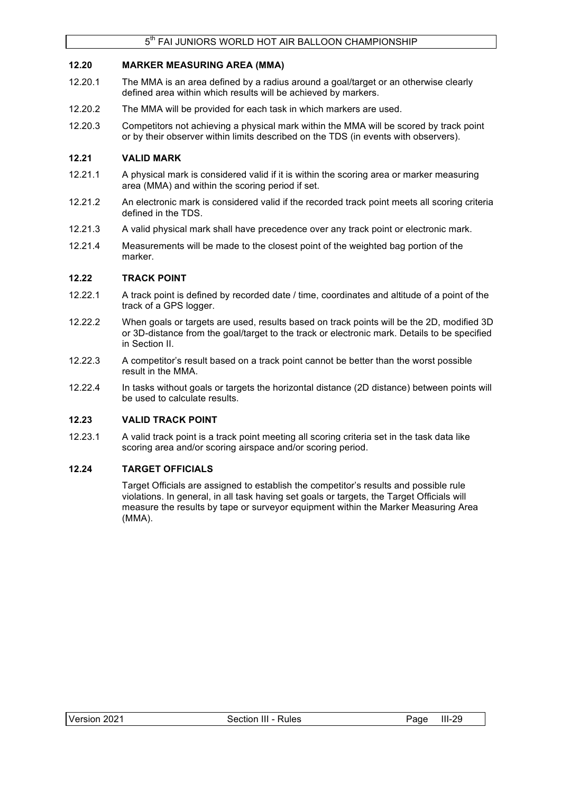## **12.20 MARKER MEASURING AREA (MMA)**

- 12.20.1 The MMA is an area defined by a radius around a goal/target or an otherwise clearly defined area within which results will be achieved by markers.
- 12.20.2 The MMA will be provided for each task in which markers are used.
- 12.20.3 Competitors not achieving a physical mark within the MMA will be scored by track point or by their observer within limits described on the TDS (in events with observers).

## **12.21 VALID MARK**

- 12.21.1 A physical mark is considered valid if it is within the scoring area or marker measuring area (MMA) and within the scoring period if set.
- 12.21.2 An electronic mark is considered valid if the recorded track point meets all scoring criteria defined in the TDS.
- 12.21.3 A valid physical mark shall have precedence over any track point or electronic mark.
- 12.21.4 Measurements will be made to the closest point of the weighted bag portion of the marker.

### **12.22 TRACK POINT**

- 12.22.1 A track point is defined by recorded date / time, coordinates and altitude of a point of the track of a GPS logger.
- 12.22.2 When goals or targets are used, results based on track points will be the 2D, modified 3D or 3D-distance from the goal/target to the track or electronic mark. Details to be specified in Section II.
- 12.22.3 A competitor's result based on a track point cannot be better than the worst possible result in the MMA.
- 12.22.4 In tasks without goals or targets the horizontal distance (2D distance) between points will be used to calculate results.

### **12.23 VALID TRACK POINT**

12.23.1 A valid track point is a track point meeting all scoring criteria set in the task data like scoring area and/or scoring airspace and/or scoring period.

### **12.24 TARGET OFFICIALS**

Target Officials are assigned to establish the competitor's results and possible rule violations. In general, in all task having set goals or targets, the Target Officials will measure the results by tape or surveyor equipment within the Marker Measuring Area (MMA).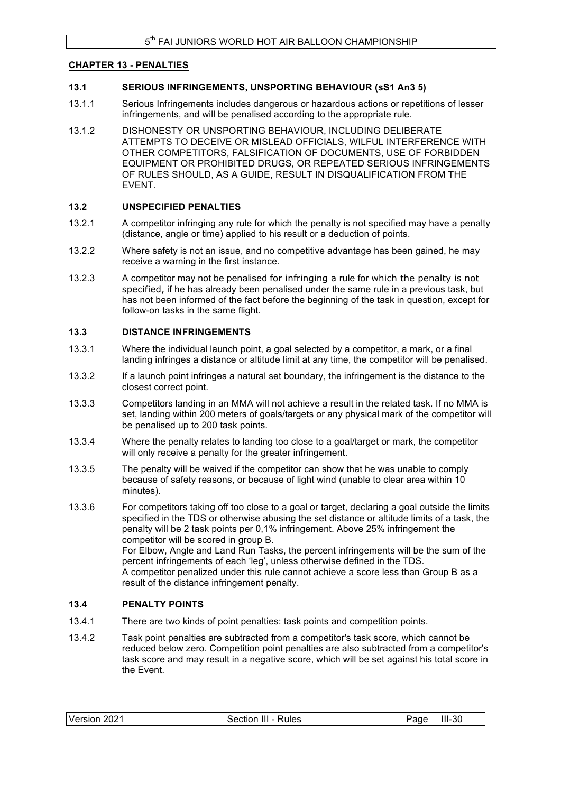### **CHAPTER 13 - PENALTIES**

### **13.1 SERIOUS INFRINGEMENTS, UNSPORTING BEHAVIOUR (sS1 An3 5)**

- 13.1.1 Serious Infringements includes dangerous or hazardous actions or repetitions of lesser infringements, and will be penalised according to the appropriate rule.
- 13.1.2 DISHONESTY OR UNSPORTING BEHAVIOUR, INCLUDING DELIBERATE ATTEMPTS TO DECEIVE OR MISLEAD OFFICIALS, WILFUL INTERFERENCE WITH OTHER COMPETITORS, FALSIFICATION OF DOCUMENTS, USE OF FORBIDDEN EQUIPMENT OR PROHIBITED DRUGS, OR REPEATED SERIOUS INFRINGEMENTS OF RULES SHOULD, AS A GUIDE, RESULT IN DISQUALIFICATION FROM THE EVENT.

#### **13.2 UNSPECIFIED PENALTIES**

- 13.2.1 A competitor infringing any rule for which the penalty is not specified may have a penalty (distance, angle or time) applied to his result or a deduction of points.
- 13.2.2 Where safety is not an issue, and no competitive advantage has been gained, he may receive a warning in the first instance.
- 13.2.3 A competitor may not be penalised for infringing a rule for which the penalty is not specified, if he has already been penalised under the same rule in a previous task, but has not been informed of the fact before the beginning of the task in question, except for follow-on tasks in the same flight.

### **13.3 DISTANCE INFRINGEMENTS**

- 13.3.1 Where the individual launch point, a goal selected by a competitor, a mark, or a final landing infringes a distance or altitude limit at any time, the competitor will be penalised.
- 13.3.2 If a launch point infringes a natural set boundary, the infringement is the distance to the closest correct point.
- 13.3.3 Competitors landing in an MMA will not achieve a result in the related task. If no MMA is set, landing within 200 meters of goals/targets or any physical mark of the competitor will be penalised up to 200 task points.
- 13.3.4 Where the penalty relates to landing too close to a goal/target or mark, the competitor will only receive a penalty for the greater infringement.
- 13.3.5 The penalty will be waived if the competitor can show that he was unable to comply because of safety reasons, or because of light wind (unable to clear area within 10 minutes).
- 13.3.6 For competitors taking off too close to a goal or target, declaring a goal outside the limits specified in the TDS or otherwise abusing the set distance or altitude limits of a task, the penalty will be 2 task points per 0,1% infringement. Above 25% infringement the competitor will be scored in group B. For Elbow, Angle and Land Run Tasks, the percent infringements will be the sum of the percent infringements of each 'leg', unless otherwise defined in the TDS. A competitor penalized under this rule cannot achieve a score less than Group B as a result of the distance infringement penalty.

### **13.4 PENALTY POINTS**

- 13.4.1 There are two kinds of point penalties: task points and competition points.
- 13.4.2 Task point penalties are subtracted from a competitor's task score, which cannot be reduced below zero. Competition point penalties are also subtracted from a competitor's task score and may result in a negative score, which will be set against his total score in the Event.

| Version 2021 | Section III - Rules | Page III-30 |  |
|--------------|---------------------|-------------|--|
|              |                     |             |  |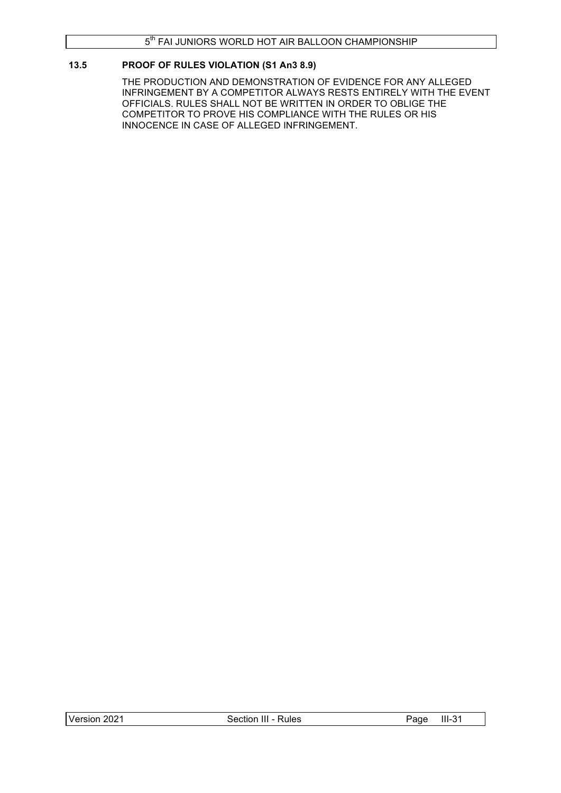## **13.5 PROOF OF RULES VIOLATION (S1 An3 8.9)**

THE PRODUCTION AND DEMONSTRATION OF EVIDENCE FOR ANY ALLEGED INFRINGEMENT BY A COMPETITOR ALWAYS RESTS ENTIRELY WITH THE EVENT OFFICIALS. RULES SHALL NOT BE WRITTEN IN ORDER TO OBLIGE THE COMPETITOR TO PROVE HIS COMPLIANCE WITH THE RULES OR HIS INNOCENCE IN CASE OF ALLEGED INFRINGEMENT.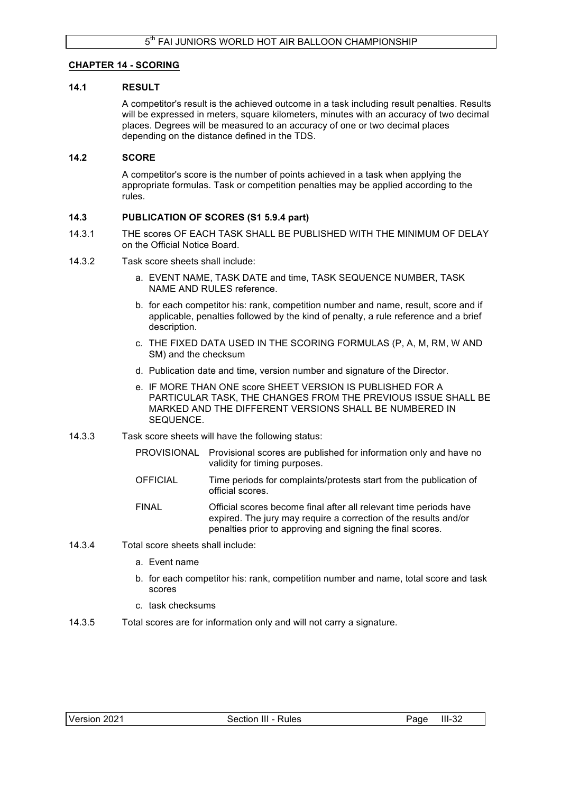## **CHAPTER 14 - SCORING**

### **14.1 RESULT**

A competitor's result is the achieved outcome in a task including result penalties. Results will be expressed in meters, square kilometers, minutes with an accuracy of two decimal places. Degrees will be measured to an accuracy of one or two decimal places depending on the distance defined in the TDS.

### **14.2 SCORE**

A competitor's score is the number of points achieved in a task when applying the appropriate formulas. Task or competition penalties may be applied according to the rules.

### **14.3 PUBLICATION OF SCORES (S1 5.9.4 part)**

- 14.3.1 THE scores OF EACH TASK SHALL BE PUBLISHED WITH THE MINIMUM OF DELAY on the Official Notice Board.
- 14.3.2 Task score sheets shall include:
	- a. EVENT NAME, TASK DATE and time, TASK SEQUENCE NUMBER, TASK NAME AND RULES reference.
	- b. for each competitor his: rank, competition number and name, result, score and if applicable, penalties followed by the kind of penalty, a rule reference and a brief description.
	- c. THE FIXED DATA USED IN THE SCORING FORMULAS (P, A, M, RM, W AND SM) and the checksum
	- d. Publication date and time, version number and signature of the Director.
	- e. IF MORE THAN ONE score SHEET VERSION IS PUBLISHED FOR A PARTICULAR TASK, THE CHANGES FROM THE PREVIOUS ISSUE SHALL BE MARKED AND THE DIFFERENT VERSIONS SHALL BE NUMBERED IN SEQUENCE.
- 14.3.3 Task score sheets will have the following status:
	- PROVISIONAL Provisional scores are published for information only and have no validity for timing purposes.
	- OFFICIAL Time periods for complaints/protests start from the publication of official scores.
	- FINAL Official scores become final after all relevant time periods have expired. The jury may require a correction of the results and/or penalties prior to approving and signing the final scores.
- 14.3.4 Total score sheets shall include:
	- a. Event name
	- b. for each competitor his: rank, competition number and name, total score and task scores
	- c. task checksums
- 14.3.5 Total scores are for information only and will not carry a signature.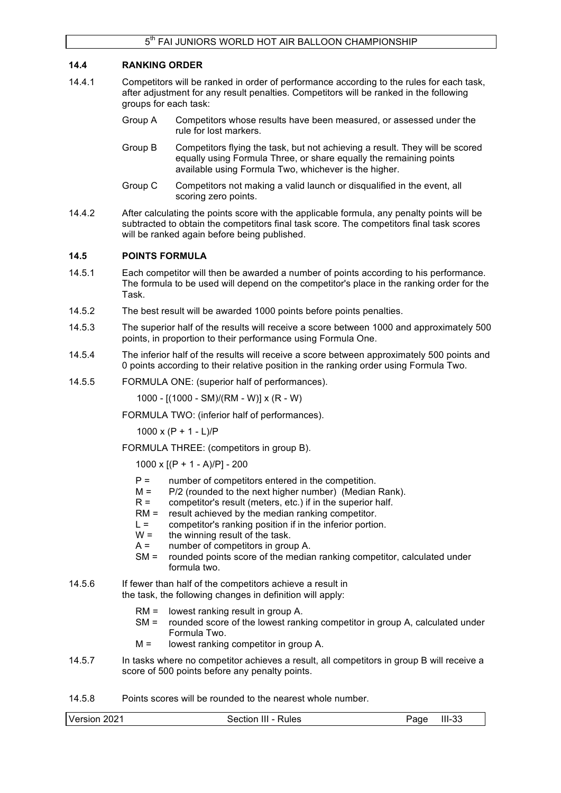### **14.4 RANKING ORDER**

- 14.4.1 Competitors will be ranked in order of performance according to the rules for each task, after adjustment for any result penalties. Competitors will be ranked in the following groups for each task:
	- Group A Competitors whose results have been measured, or assessed under the rule for lost markers.
	- Group B Competitors flying the task, but not achieving a result. They will be scored equally using Formula Three, or share equally the remaining points available using Formula Two, whichever is the higher.
	- Group C Competitors not making a valid launch or disqualified in the event, all scoring zero points.
- 14.4.2 After calculating the points score with the applicable formula, any penalty points will be subtracted to obtain the competitors final task score. The competitors final task scores will be ranked again before being published.

### **14.5 POINTS FORMULA**

- 14.5.1 Each competitor will then be awarded a number of points according to his performance. The formula to be used will depend on the competitor's place in the ranking order for the Task.
- 14.5.2 The best result will be awarded 1000 points before points penalties.
- 14.5.3 The superior half of the results will receive a score between 1000 and approximately 500 points, in proportion to their performance using Formula One.
- 14.5.4 The inferior half of the results will receive a score between approximately 500 points and 0 points according to their relative position in the ranking order using Formula Two.
- 14.5.5 FORMULA ONE: (superior half of performances).

1000 - [(1000 - SM)/(RM - W)] x (R - W)

FORMULA TWO: (inferior half of performances).

 $1000 \times (P + 1 - L)/P$ 

FORMULA THREE: (competitors in group B).

1000 x  $[(P + 1 - A)/P] - 200$ 

- $P =$  number of competitors entered in the competition.
- $M =$  P/2 (rounded to the next higher number) (Median Rank).
- $R =$  competitor's result (meters, etc.) if in the superior half.
- RM = result achieved by the median ranking competitor.
- $L =$  competitor's ranking position if in the inferior portion.
- $W =$  the winning result of the task.
- A = number of competitors in group A.
- SM = rounded points score of the median ranking competitor, calculated under formula two.
- 14.5.6 If fewer than half of the competitors achieve a result in the task, the following changes in definition will apply:
	- RM = lowest ranking result in group A.
	- SM = rounded score of the lowest ranking competitor in group A, calculated under Formula Two.
	- $M =$  lowest ranking competitor in group A.
- 14.5.7 In tasks where no competitor achieves a result, all competitors in group B will receive a score of 500 points before any penalty points.

14.5.8 Points scores will be rounded to the nearest whole number.

| Version 2021<br>$III-33$<br>Section III - Rules<br>Page |
|---------------------------------------------------------|
|---------------------------------------------------------|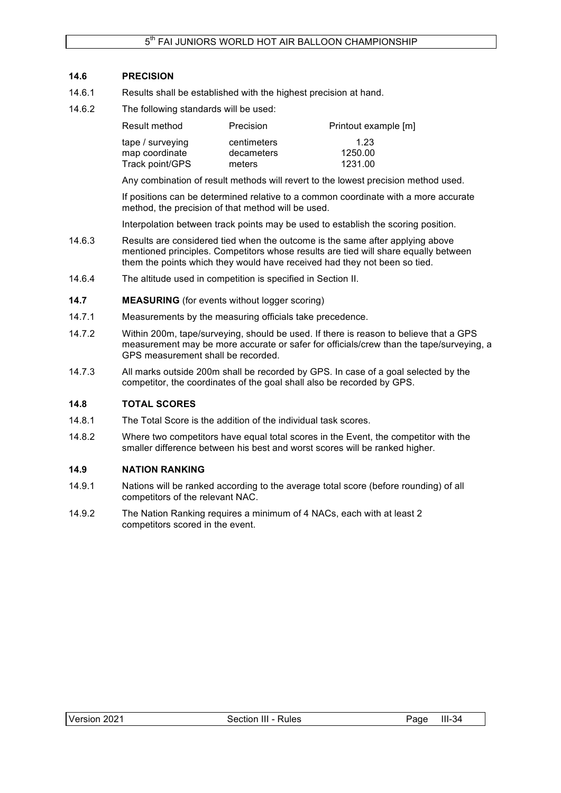## **14.6 PRECISION**

- 14.6.1 Results shall be established with the highest precision at hand.
- 14.6.2 The following standards will be used:

| Result method    | Precision   | Printout example [m] |
|------------------|-------------|----------------------|
| tape / surveying | centimeters | 1.23                 |
| map coordinate   | decameters  | 1250.00              |
| Track point/GPS  | meters      | 1231.00              |

Any combination of result methods will revert to the lowest precision method used.

If positions can be determined relative to a common coordinate with a more accurate method, the precision of that method will be used.

Interpolation between track points may be used to establish the scoring position.

- 14.6.3 Results are considered tied when the outcome is the same after applying above mentioned principles. Competitors whose results are tied will share equally between them the points which they would have received had they not been so tied.
- 14.6.4 The altitude used in competition is specified in Section II.
- **14.7 MEASURING** (for events without logger scoring)
- 14.7.1 Measurements by the measuring officials take precedence.
- 14.7.2 Within 200m, tape/surveying, should be used. If there is reason to believe that a GPS measurement may be more accurate or safer for officials/crew than the tape/surveying, a GPS measurement shall be recorded.
- 14.7.3 All marks outside 200m shall be recorded by GPS. In case of a goal selected by the competitor, the coordinates of the goal shall also be recorded by GPS.

### **14.8 TOTAL SCORES**

- 14.8.1 The Total Score is the addition of the individual task scores.
- 14.8.2 Where two competitors have equal total scores in the Event, the competitor with the smaller difference between his best and worst scores will be ranked higher.

## **14.9 NATION RANKING**

- 14.9.1 Nations will be ranked according to the average total score (before rounding) of all competitors of the relevant NAC.
- 14.9.2 The Nation Ranking requires a minimum of 4 NACs, each with at least 2 competitors scored in the event.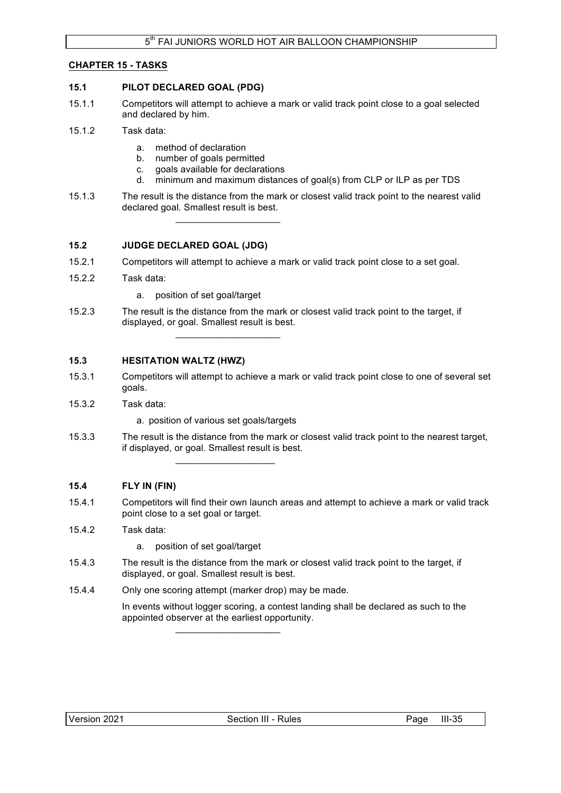## **CHAPTER 15 - TASKS**

### **15.1 PILOT DECLARED GOAL (PDG)**

- 15.1.1 Competitors will attempt to achieve a mark or valid track point close to a goal selected and declared by him.
- 15.1.2 Task data:
	- a. method of declaration
	- b. number of goals permitted
	- c. goals available for declarations

 $\mathcal{L}_\text{max}$  , where  $\mathcal{L}_\text{max}$  and  $\mathcal{L}_\text{max}$ 

- d. minimum and maximum distances of goal(s) from CLP or ILP as per TDS
- 15.1.3 The result is the distance from the mark or closest valid track point to the nearest valid declared goal. Smallest result is best.

## **15.2 JUDGE DECLARED GOAL (JDG)**

- 15.2.1 Competitors will attempt to achieve a mark or valid track point close to a set goal.
- 15.2.2 Task data:
	- a. position of set goal/target
- 15.2.3 The result is the distance from the mark or closest valid track point to the target, if displayed, or goal. Smallest result is best.  $\mathcal{L}_\text{max}$  , where  $\mathcal{L}_\text{max}$  and  $\mathcal{L}_\text{max}$

## **15.3 HESITATION WALTZ (HWZ)**

- 15.3.1 Competitors will attempt to achieve a mark or valid track point close to one of several set goals.
- 15.3.2 Task data:
	- a. position of various set goals/targets

 $\mathcal{L}_\text{max}$  , where  $\mathcal{L}_\text{max}$  and  $\mathcal{L}_\text{max}$ 

15.3.3 The result is the distance from the mark or closest valid track point to the nearest target, if displayed, or goal. Smallest result is best.

### **15.4 FLY IN (FIN)**

15.4.1 Competitors will find their own launch areas and attempt to achieve a mark or valid track point close to a set goal or target.

## 15.4.2 Task data:

- a. position of set goal/target
- 15.4.3 The result is the distance from the mark or closest valid track point to the target, if displayed, or goal. Smallest result is best.
- 15.4.4 Only one scoring attempt (marker drop) may be made.

 $\mathcal{L}_\text{max}$  , where  $\mathcal{L}_\text{max}$  and  $\mathcal{L}_\text{max}$ 

In events without logger scoring, a contest landing shall be declared as such to the appointed observer at the earliest opportunity.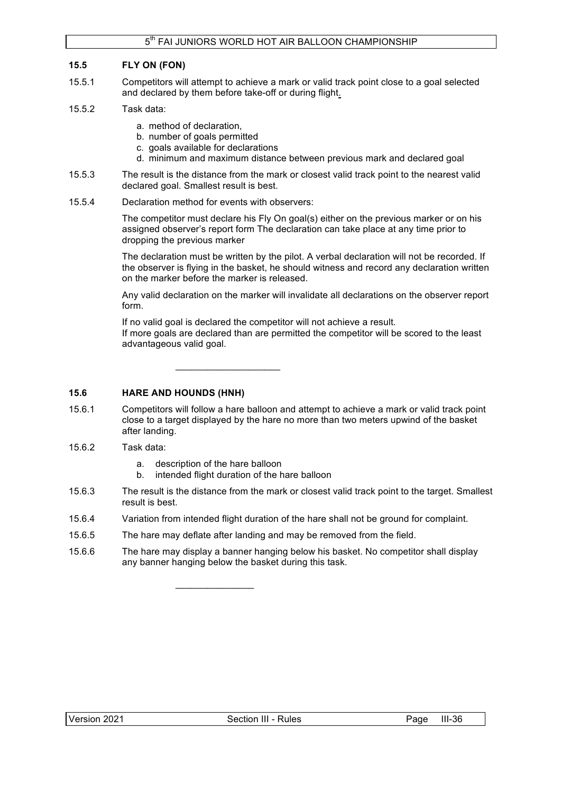## **15.5 FLY ON (FON)**

- 15.5.1 Competitors will attempt to achieve a mark or valid track point close to a goal selected and declared by them before take-off or during flight.
- 15.5.2 Task data:
	- a. method of declaration,
	- b. number of goals permitted
	- c. goals available for declarations
	- d. minimum and maximum distance between previous mark and declared goal
- 15.5.3 The result is the distance from the mark or closest valid track point to the nearest valid declared goal. Smallest result is best.
- 15.5.4 Declaration method for events with observers:

The competitor must declare his Fly On goal(s) either on the previous marker or on his assigned observer's report form The declaration can take place at any time prior to dropping the previous marker

The declaration must be written by the pilot. A verbal declaration will not be recorded. If the observer is flying in the basket, he should witness and record any declaration written on the marker before the marker is released.

Any valid declaration on the marker will invalidate all declarations on the observer report form.

If no valid goal is declared the competitor will not achieve a result. If more goals are declared than are permitted the competitor will be scored to the least advantageous valid goal.

## **15.6 HARE AND HOUNDS (HNH)**

- 15.6.1 Competitors will follow a hare balloon and attempt to achieve a mark or valid track point close to a target displayed by the hare no more than two meters upwind of the basket after landing.
- 15.6.2 Task data:
	- a. description of the hare balloon

 $\mathcal{L}$  , we have the set of  $\mathcal{L}$ 

b. intended flight duration of the hare balloon

 $\_$ 

- 15.6.3 The result is the distance from the mark or closest valid track point to the target. Smallest result is best.
- 15.6.4 Variation from intended flight duration of the hare shall not be ground for complaint.
- 15.6.5 The hare may deflate after landing and may be removed from the field.
- 15.6.6 The hare may display a banner hanging below his basket. No competitor shall display any banner hanging below the basket during this task.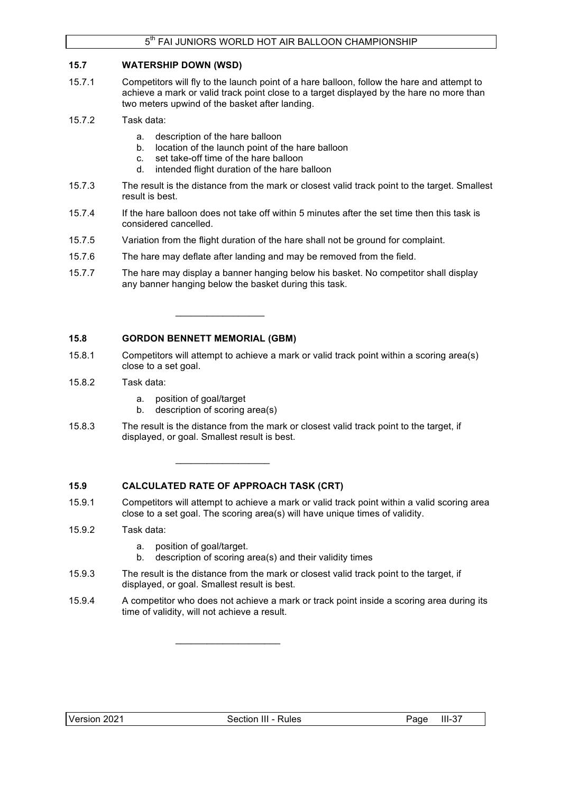## **15.7 WATERSHIP DOWN (WSD)**

- 15.7.1 Competitors will fly to the launch point of a hare balloon, follow the hare and attempt to achieve a mark or valid track point close to a target displayed by the hare no more than two meters upwind of the basket after landing.
- 15.7.2 Task data:
	- a. description of the hare balloon
	- b. location of the launch point of the hare balloon
	- c. set take-off time of the hare balloon

 $\_$ 

- d. intended flight duration of the hare balloon
- 15.7.3 The result is the distance from the mark or closest valid track point to the target. Smallest result is best.
- 15.7.4 If the hare balloon does not take off within 5 minutes after the set time then this task is considered cancelled.
- 15.7.5 Variation from the flight duration of the hare shall not be ground for complaint.
- 15.7.6 The hare may deflate after landing and may be removed from the field.
- 15.7.7 The hare may display a banner hanging below his basket. No competitor shall display any banner hanging below the basket during this task.

## **15.8 GORDON BENNETT MEMORIAL (GBM)**

- 15.8.1 Competitors will attempt to achieve a mark or valid track point within a scoring area(s) close to a set goal.
- 15.8.2 Task data:
	- a. position of goal/target
	- b. description of scoring area(s)
- 15.8.3 The result is the distance from the mark or closest valid track point to the target, if displayed, or goal. Smallest result is best.

## **15.9 CALCULATED RATE OF APPROACH TASK (CRT)**

 $\mathcal{L}_\text{max}$  and  $\mathcal{L}_\text{max}$  and  $\mathcal{L}_\text{max}$ 

 $\mathcal{L}_\text{max}$  , and the set of the set of the set of the set of the set of the set of the set of the set of the set of the set of the set of the set of the set of the set of the set of the set of the set of the set of the

- 15.9.1 Competitors will attempt to achieve a mark or valid track point within a valid scoring area close to a set goal. The scoring area(s) will have unique times of validity.
- 15.9.2 Task data:
	- a. position of goal/target.
	- b. description of scoring area(s) and their validity times
- 15.9.3 The result is the distance from the mark or closest valid track point to the target, if displayed, or goal. Smallest result is best.
- 15.9.4 A competitor who does not achieve a mark or track point inside a scoring area during its time of validity, will not achieve a result.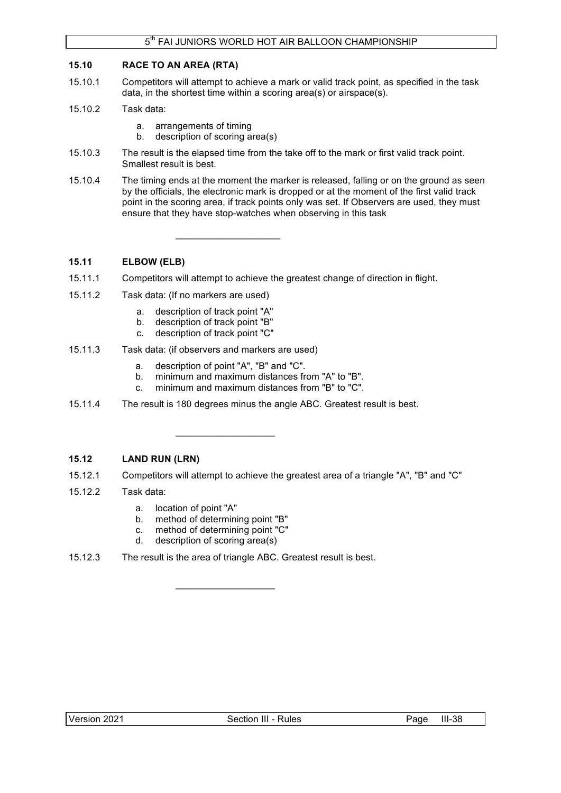## **15.10 RACE TO AN AREA (RTA)**

- 15.10.1 Competitors will attempt to achieve a mark or valid track point, as specified in the task data, in the shortest time within a scoring area(s) or airspace(s).
- 15.10.2 Task data:
	- a. arrangements of timing
	- b. description of scoring area(s)
- 15.10.3 The result is the elapsed time from the take off to the mark or first valid track point. Smallest result is best.
- 15.10.4 The timing ends at the moment the marker is released, falling or on the ground as seen by the officials, the electronic mark is dropped or at the moment of the first valid track point in the scoring area, if track points only was set. If Observers are used, they must ensure that they have stop-watches when observing in this task

## **15.11 ELBOW (ELB)**

- 15.11.1 Competitors will attempt to achieve the greatest change of direction in flight.
- 15.11.2 Task data: (If no markers are used)
	- a. description of track point "A"
	- b. description of track point "B"
	- c. description of track point "C"
- 15.11.3 Task data: (if observers and markers are used)
	- a. description of point "A", "B" and "C".

 $\_$ 

 $\mathcal{L}_\text{max}$  , and the set of the set of the set of the set of the set of the set of the set of the set of the set of the set of the set of the set of the set of the set of the set of the set of the set of the set of the

- b. minimum and maximum distances from "A" to "B".
- c. minimum and maximum distances from "B" to "C".
- 15.11.4 The result is 180 degrees minus the angle ABC. Greatest result is best.

### **15.12 LAND RUN (LRN)**

- 15.12.1 Competitors will attempt to achieve the greatest area of a triangle "A", "B" and "C"
- 15.12.2 Task data:
	- a. location of point "A"
	- b. method of determining point "B"
	- c. method of determining point "C"
	- d. description of scoring area(s)
- 15.12.3 The result is the area of triangle ABC. Greatest result is best.

 $\mathcal{L}_\text{max}$  , where  $\mathcal{L}_\text{max}$  and  $\mathcal{L}_\text{max}$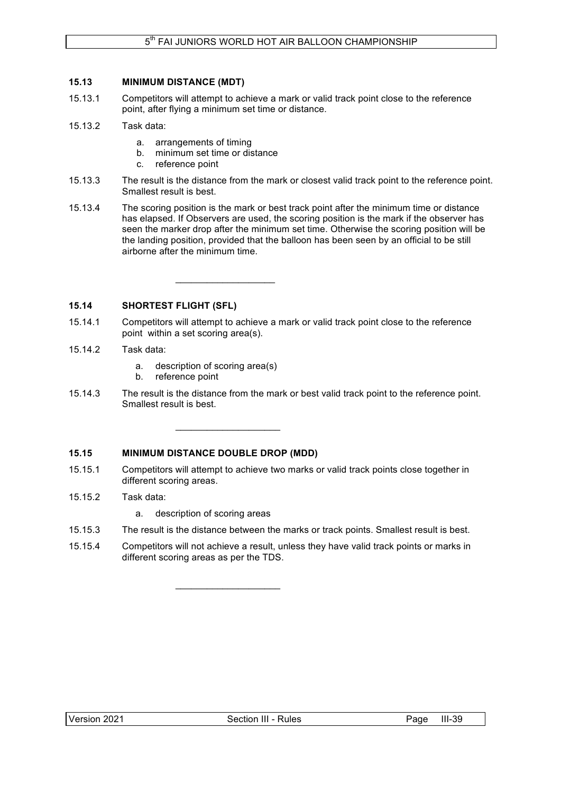## **15.13 MINIMUM DISTANCE (MDT)**

- 15.13.1 Competitors will attempt to achieve a mark or valid track point close to the reference point, after flying a minimum set time or distance.
- 15.13.2 Task data:
	- a. arrangements of timing
	- b. minimum set time or distance
	- c. reference point
- 15.13.3 The result is the distance from the mark or closest valid track point to the reference point. Smallest result is best.
- 15.13.4 The scoring position is the mark or best track point after the minimum time or distance has elapsed. If Observers are used, the scoring position is the mark if the observer has seen the marker drop after the minimum set time. Otherwise the scoring position will be the landing position, provided that the balloon has been seen by an official to be still airborne after the minimum time.

**15.14 SHORTEST FLIGHT (SFL)**

- 15.14.1 Competitors will attempt to achieve a mark or valid track point close to the reference point within a set scoring area(s).
- 15.14.2 Task data:
	- a. description of scoring area(s)

 $\mathcal{L}_\text{max}$  , where  $\mathcal{L}_\text{max}$  and  $\mathcal{L}_\text{max}$ 

\_\_\_\_\_\_\_\_\_\_\_\_\_\_\_\_\_\_\_\_

 $\mathcal{L}_\text{max}$  , and the set of the set of the set of the set of the set of the set of the set of the set of the set of the set of the set of the set of the set of the set of the set of the set of the set of the set of the

- b. reference point
- 15.14.3 The result is the distance from the mark or best valid track point to the reference point. Smallest result is best.

## **15.15 MINIMUM DISTANCE DOUBLE DROP (MDD)**

- 15.15.1 Competitors will attempt to achieve two marks or valid track points close together in different scoring areas.
- 15.15.2 Task data:
	- a. description of scoring areas
- 15.15.3 The result is the distance between the marks or track points. Smallest result is best.
- 15.15.4 Competitors will not achieve a result, unless they have valid track points or marks in different scoring areas as per the TDS.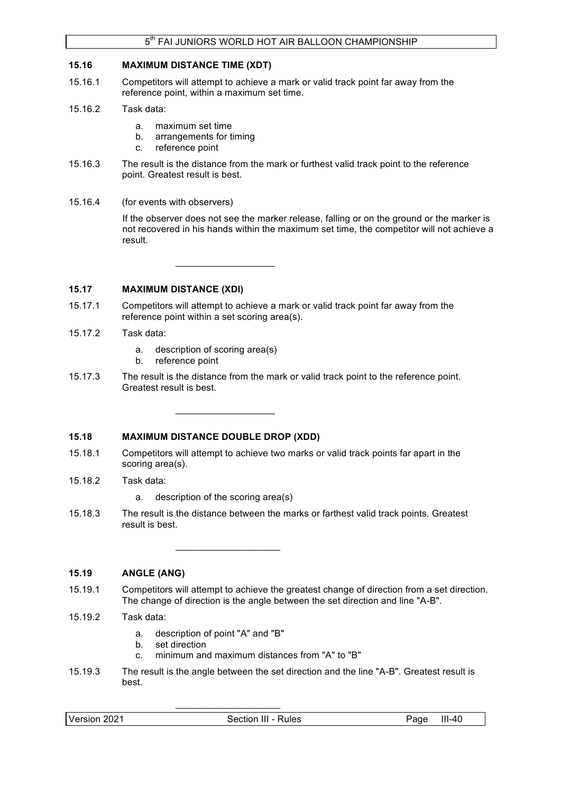### **15.16 MAXIMUM DISTANCE TIME (XDT)**

- 15.16.1 Competitors will attempt to achieve a mark or valid track point far away from the reference point, within a maximum set time.
- 15.16.2 Task data:
	- a. maximum set time
	- b. arrangements for timing
	- c. reference point
- 15.16.3 The result is the distance from the mark or furthest valid track point to the reference point. Greatest result is best.
- 15.16.4 (for events with observers)

If the observer does not see the marker release, falling or on the ground or the marker is not recovered in his hands within the maximum set time, the competitor will not achieve a result.

 $\_$ 

## **15.17 MAXIMUM DISTANCE (XDI)**

- 15.17.1 Competitors will attempt to achieve a mark or valid track point far away from the reference point within a set scoring area(s).
- 15.17.2 Task data:
	- a. description of scoring area(s)
	- b. reference point
- 15.17.3 The result is the distance from the mark or valid track point to the reference point. Greatest result is best.

### **15.18 MAXIMUM DISTANCE DOUBLE DROP (XDD)**

- 15.18.1 Competitors will attempt to achieve two marks or valid track points far apart in the scoring area(s).
- 15.18.2 Task data:
	- a. description of the scoring area(s)

\_\_\_\_\_\_\_\_\_\_\_\_\_\_\_\_\_\_\_\_

 $\_$ 

15.18.3 The result is the distance between the marks or farthest valid track points. Greatest result is best.

### **15.19 ANGLE (ANG)**

- 15.19.1 Competitors will attempt to achieve the greatest change of direction from a set direction. The change of direction is the angle between the set direction and line "A-B".
- 15.19.2 Task data:
	- a. description of point "A" and "B"
	- b. set direction
	- c. minimum and maximum distances from "A" to "B"

\_\_\_\_\_\_\_\_\_\_\_\_\_\_\_\_\_\_\_\_

15.19.3 The result is the angle between the set direction and the line "A-B". Greatest result is best.

|--|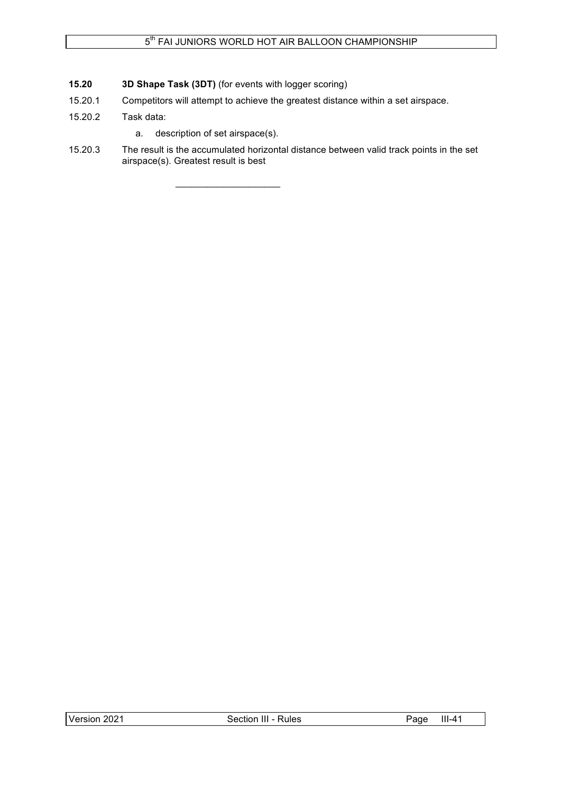- **15.20 3D Shape Task (3DT)** (for events with logger scoring)
- 15.20.1 Competitors will attempt to achieve the greatest distance within a set airspace.
- 15.20.2 Task data:
	- a. description of set airspace(s).

\_\_\_\_\_\_\_\_\_\_\_\_\_\_\_\_\_\_\_\_

15.20.3 The result is the accumulated horizontal distance between valid track points in the set airspace(s). Greatest result is best